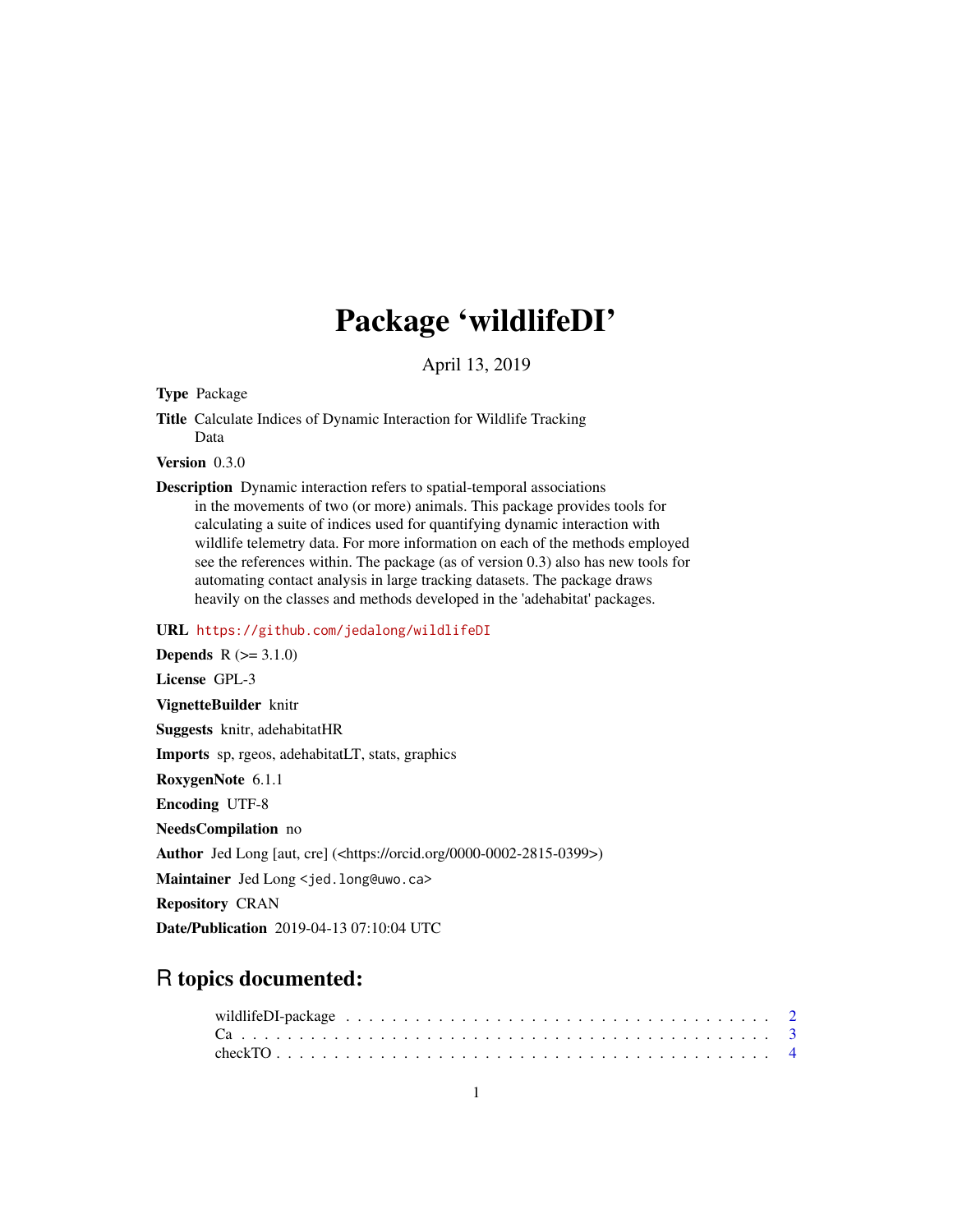# Package 'wildlifeDI'

April 13, 2019

# Type Package

Title Calculate Indices of Dynamic Interaction for Wildlife Tracking Data

Version 0.3.0

Description Dynamic interaction refers to spatial-temporal associations in the movements of two (or more) animals. This package provides tools for calculating a suite of indices used for quantifying dynamic interaction with wildlife telemetry data. For more information on each of the methods employed see the references within. The package (as of version 0.3) also has new tools for automating contact analysis in large tracking datasets. The package draws heavily on the classes and methods developed in the 'adehabitat' packages.

# URL <https://github.com/jedalong/wildlifeDI>

Date/Publication 2019-04-13 07:10:04 UTC

# R topics documented: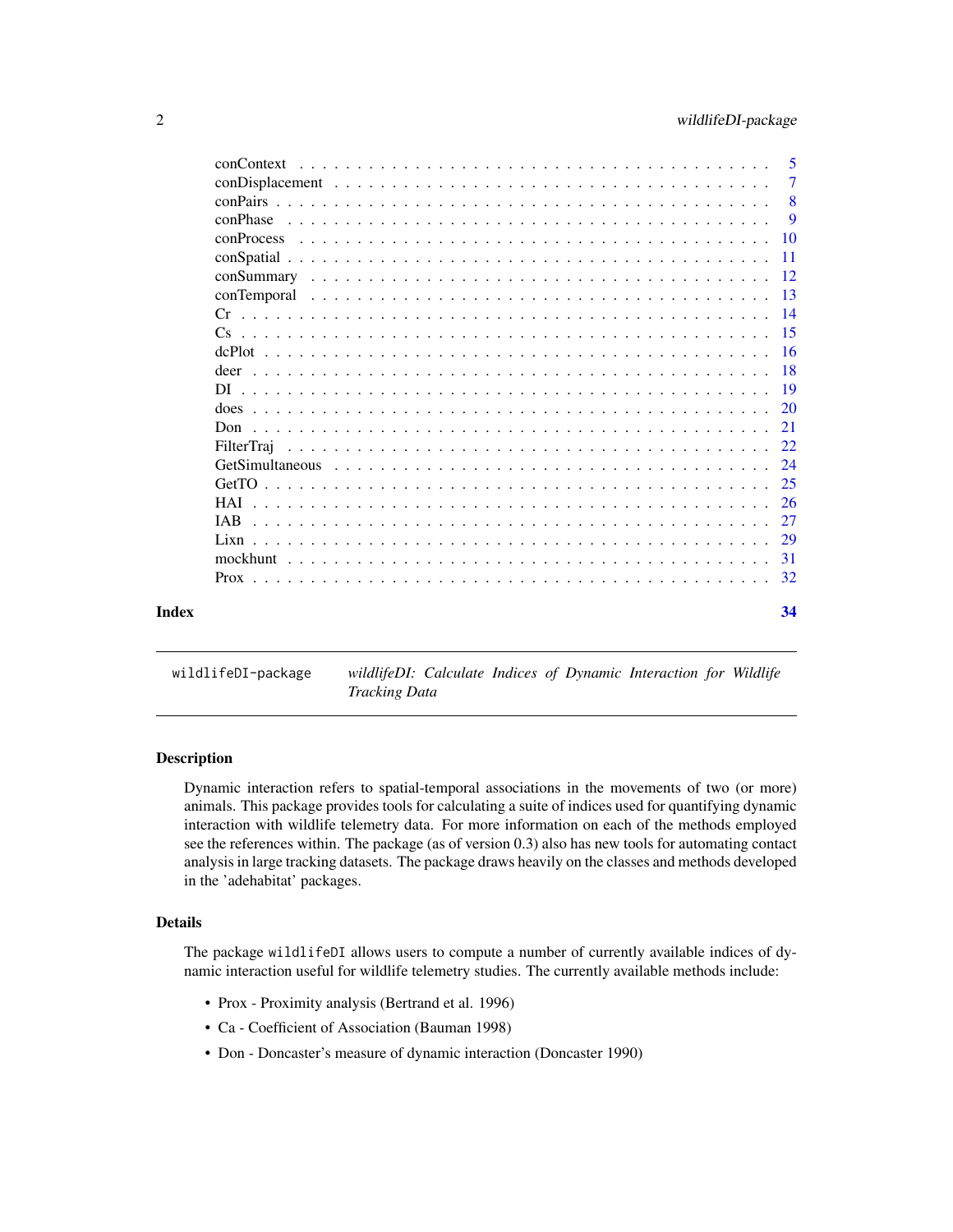<span id="page-1-0"></span>

|       | conContext | 5              |
|-------|------------|----------------|
|       |            | $\overline{7}$ |
|       |            | 8              |
|       | conPhase   | 9              |
|       |            | <b>10</b>      |
|       |            | -11            |
|       |            |                |
|       |            |                |
|       |            |                |
|       |            |                |
|       |            |                |
|       |            |                |
|       |            | -19            |
|       |            |                |
|       | Don        | 21             |
|       |            | 22             |
|       |            | 24             |
|       |            |                |
|       | <b>HAI</b> | 26             |
|       | IAB.       | 27             |
|       |            | 29             |
|       |            | 31             |
|       |            | 32             |
| Index |            | 34             |

# wildlifeDI-package *wildlifeDI: Calculate Indices of Dynamic Interaction for Wildlife*

# *Tracking Data*

#### Description

Dynamic interaction refers to spatial-temporal associations in the movements of two (or more) animals. This package provides tools for calculating a suite of indices used for quantifying dynamic interaction with wildlife telemetry data. For more information on each of the methods employed see the references within. The package (as of version 0.3) also has new tools for automating contact analysis in large tracking datasets. The package draws heavily on the classes and methods developed in the 'adehabitat' packages.

# Details

The package wildlifeDI allows users to compute a number of currently available indices of dynamic interaction useful for wildlife telemetry studies. The currently available methods include:

- Prox Proximity analysis (Bertrand et al. 1996)
- Ca Coefficient of Association (Bauman 1998)
- Don Doncaster's measure of dynamic interaction (Doncaster 1990)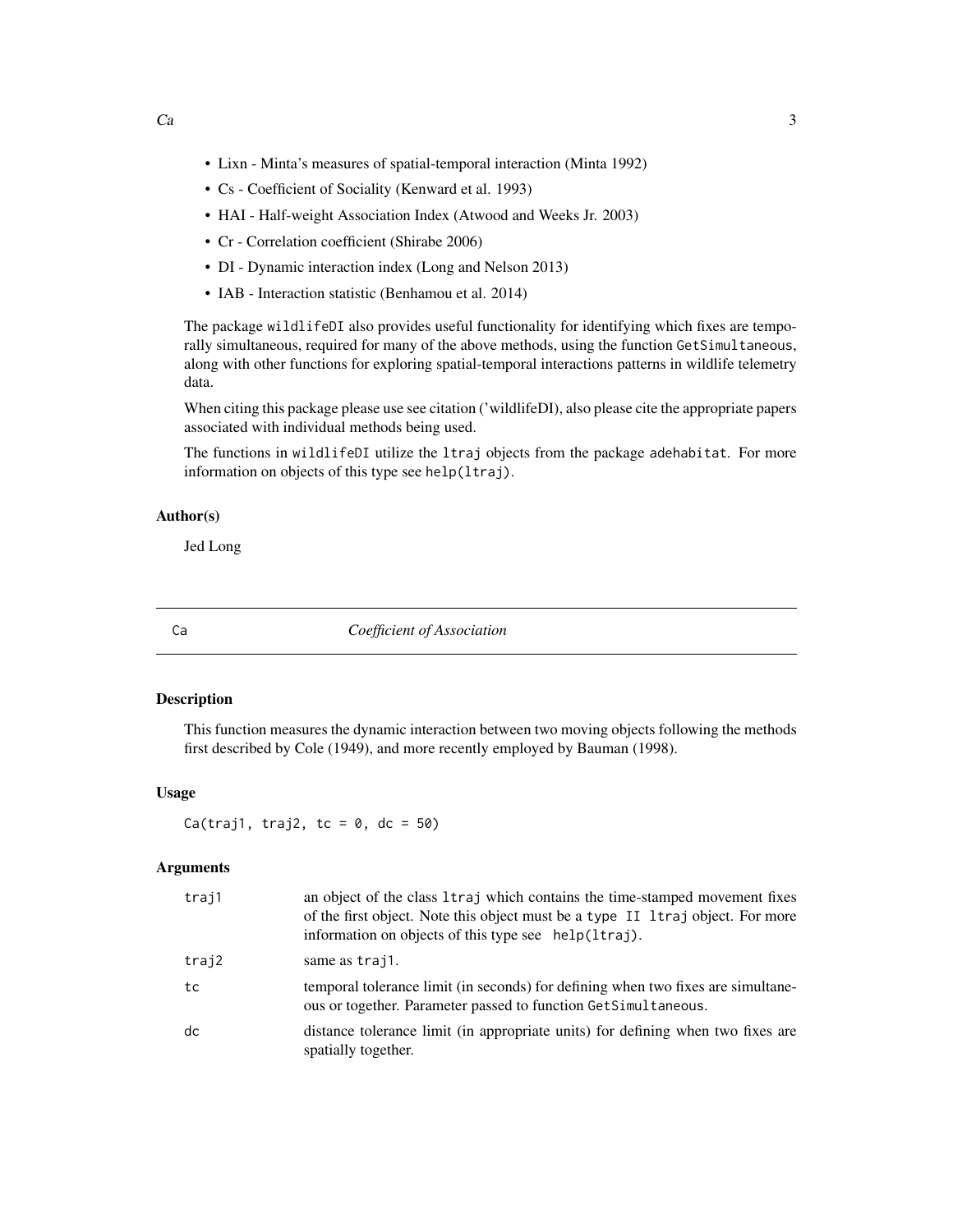- <span id="page-2-0"></span>• Lixn - Minta's measures of spatial-temporal interaction (Minta 1992)
- Cs Coefficient of Sociality (Kenward et al. 1993)
- HAI Half-weight Association Index (Atwood and Weeks Jr. 2003)
- Cr Correlation coefficient (Shirabe 2006)
- DI Dynamic interaction index (Long and Nelson 2013)
- IAB Interaction statistic (Benhamou et al. 2014)

The package wildlifeDI also provides useful functionality for identifying which fixes are temporally simultaneous, required for many of the above methods, using the function GetSimultaneous, along with other functions for exploring spatial-temporal interactions patterns in wildlife telemetry data.

When citing this package please use see citation ('wildlifeDI), also please cite the appropriate papers associated with individual methods being used.

The functions in wildlifeDI utilize the ltraj objects from the package adehabitat. For more information on objects of this type see help(ltraj).

#### Author(s)

Jed Long

Ca *Coefficient of Association*

#### Description

This function measures the dynamic interaction between two moving objects following the methods first described by Cole (1949), and more recently employed by Bauman (1998).

#### Usage

 $Ca(traj1, traj2, tc = 0, dc = 50)$ 

#### Arguments

| traj1 | an object of the class 1 traj which contains the time-stamped movement fixes<br>of the first object. Note this object must be a type II ltraj object. For more<br>information on objects of this type see help(ltraj). |
|-------|------------------------------------------------------------------------------------------------------------------------------------------------------------------------------------------------------------------------|
| traj2 | same as trajl.                                                                                                                                                                                                         |
| tc    | temporal tolerance limit (in seconds) for defining when two fixes are simultane-<br>ous or together. Parameter passed to function GetSimultaneous.                                                                     |
| dc    | distance tolerance limit (in appropriate units) for defining when two fixes are<br>spatially together.                                                                                                                 |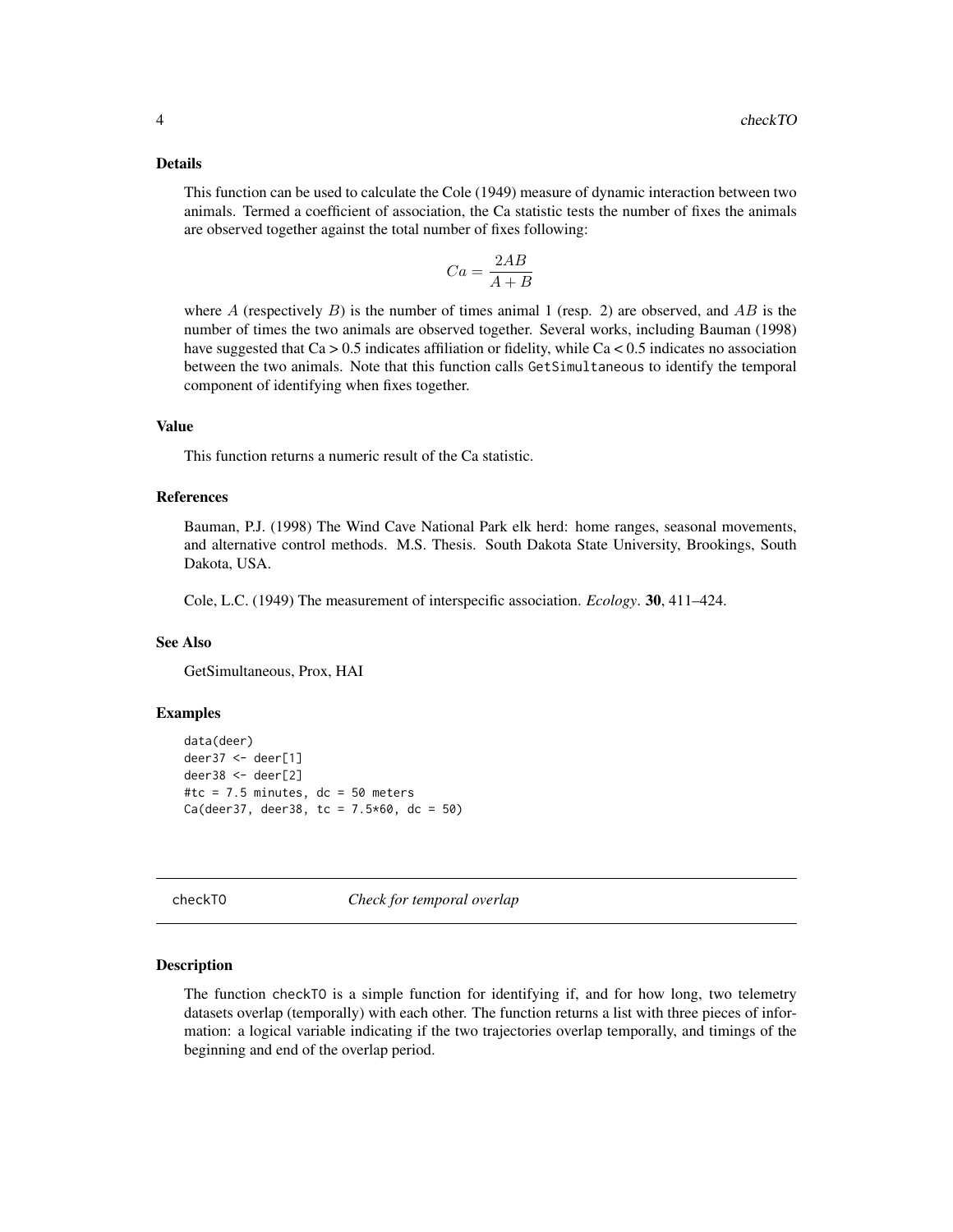#### <span id="page-3-0"></span>Details

This function can be used to calculate the Cole (1949) measure of dynamic interaction between two animals. Termed a coefficient of association, the Ca statistic tests the number of fixes the animals are observed together against the total number of fixes following:

$$
Ca = \frac{2AB}{A+B}
$$

where A (respectively B) is the number of times animal 1 (resp. 2) are observed, and AB is the number of times the two animals are observed together. Several works, including Bauman (1998) have suggested that  $Ca > 0.5$  indicates affiliation or fidelity, while  $Ca < 0.5$  indicates no association between the two animals. Note that this function calls GetSimultaneous to identify the temporal component of identifying when fixes together.

#### Value

This function returns a numeric result of the Ca statistic.

# References

Bauman, P.J. (1998) The Wind Cave National Park elk herd: home ranges, seasonal movements, and alternative control methods. M.S. Thesis. South Dakota State University, Brookings, South Dakota, USA.

Cole, L.C. (1949) The measurement of interspecific association. *Ecology*. 30, 411–424.

# See Also

GetSimultaneous, Prox, HAI

#### Examples

```
data(deer)
deer37 <- deer[1]
deer38 <- deer[2]
#tc = 7.5 minutes, dc = 50 meters
Ca(deer37, deer38, tc = 7.5*60, dc = 50)
```
checkTO *Check for temporal overlap*

#### Description

The function checkTO is a simple function for identifying if, and for how long, two telemetry datasets overlap (temporally) with each other. The function returns a list with three pieces of information: a logical variable indicating if the two trajectories overlap temporally, and timings of the beginning and end of the overlap period.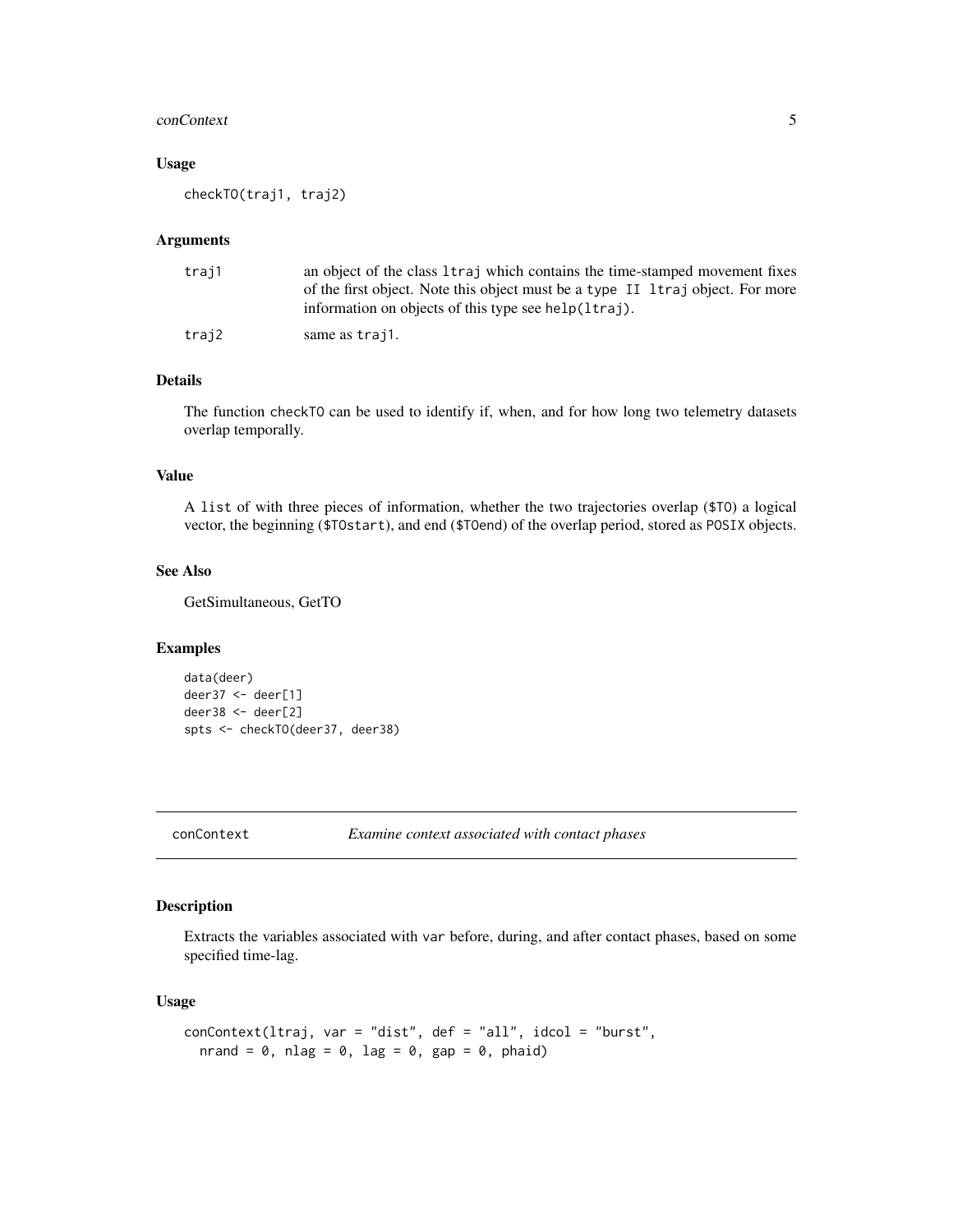#### <span id="page-4-0"></span>conContext 5

# Usage

checkTO(traj1, traj2)

#### Arguments

| traj1 | an object of the class 1 traj which contains the time-stamped movement fixes   |
|-------|--------------------------------------------------------------------------------|
|       | of the first object. Note this object must be a type II Itraj object. For more |
|       | information on objects of this type see help(ltraj).                           |
| traj2 | same as trajl.                                                                 |

#### Details

The function checkTO can be used to identify if, when, and for how long two telemetry datasets overlap temporally.

## Value

A list of with three pieces of information, whether the two trajectories overlap (\$TO) a logical vector, the beginning (\$TOstart), and end (\$TOend) of the overlap period, stored as POSIX objects.

#### See Also

GetSimultaneous, GetTO

#### Examples

```
data(deer)
deer37 <- deer[1]
deer38 <- deer[2]
spts <- checkTO(deer37, deer38)
```
conContext *Examine context associated with contact phases*

# Description

Extracts the variables associated with var before, during, and after contact phases, based on some specified time-lag.

### Usage

```
conContext(ltraj, var = "dist", def = "all", idcol = "burst",
  nrand = 0, nlag = 0, lag = 0, gap = 0, phaid)
```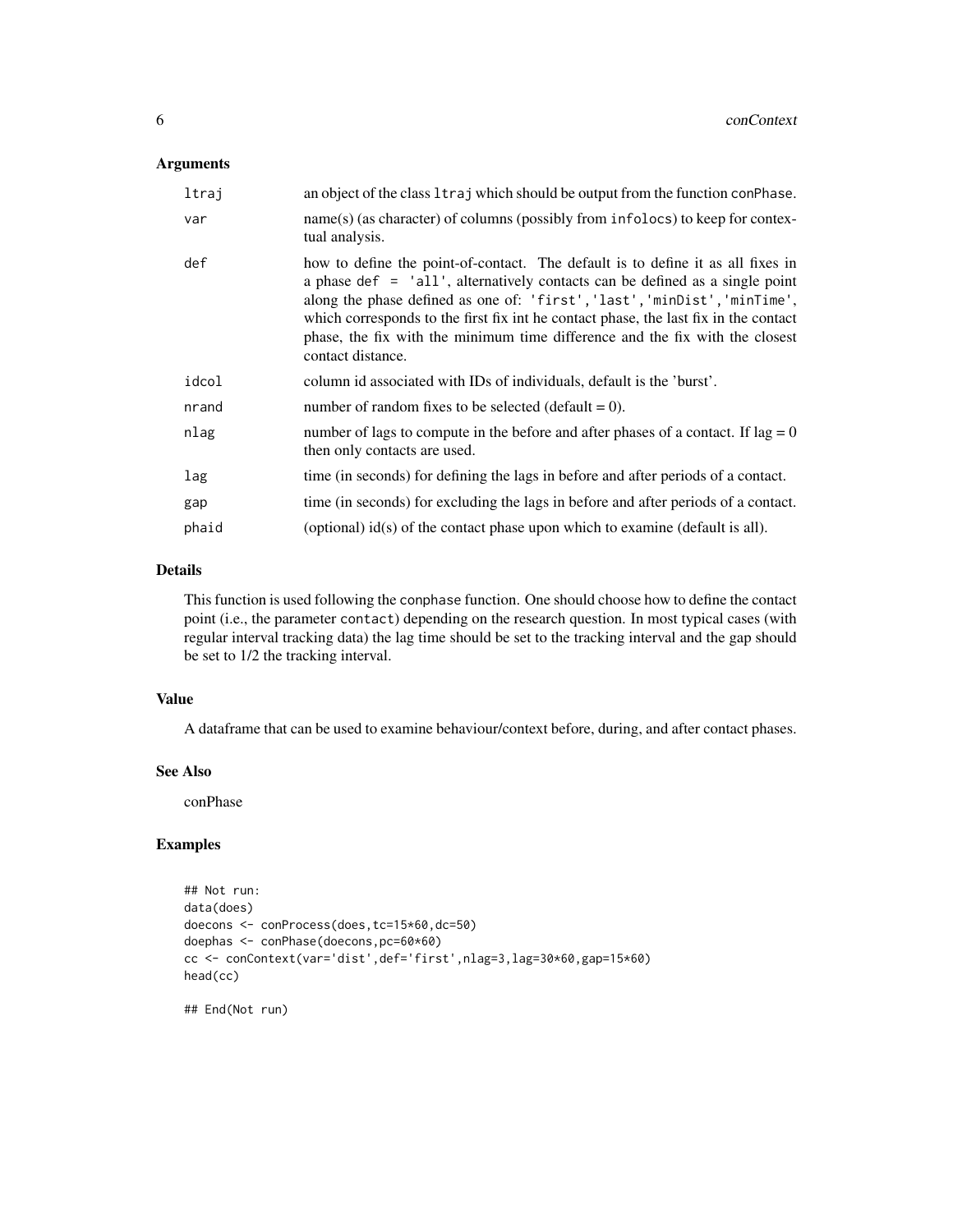# Arguments

| ltraj | an object of the class 1 traj which should be output from the function con Phase.                                                                                                                                                                                                                                                                                                                                                           |
|-------|---------------------------------------------------------------------------------------------------------------------------------------------------------------------------------------------------------------------------------------------------------------------------------------------------------------------------------------------------------------------------------------------------------------------------------------------|
| var   | name(s) (as character) of columns (possibly from infolocs) to keep for contex-<br>tual analysis.                                                                                                                                                                                                                                                                                                                                            |
| def   | how to define the point-of-contact. The default is to define it as all fixes in<br>a phase def $=$ 'all', alternatively contacts can be defined as a single point<br>along the phase defined as one of: 'first', 'last', 'minDist', 'minTime',<br>which corresponds to the first fix in the contact phase, the last fix in the contact<br>phase, the fix with the minimum time difference and the fix with the closest<br>contact distance. |
| idcol | column id associated with IDs of individuals, default is the 'burst'.                                                                                                                                                                                                                                                                                                                                                                       |
| nrand | number of random fixes to be selected (default $= 0$ ).                                                                                                                                                                                                                                                                                                                                                                                     |
| nlag  | number of lags to compute in the before and after phases of a contact. If $\log = 0$<br>then only contacts are used.                                                                                                                                                                                                                                                                                                                        |
| lag   | time (in seconds) for defining the lags in before and after periods of a contact.                                                                                                                                                                                                                                                                                                                                                           |
| gap   | time (in seconds) for excluding the lags in before and after periods of a contact.                                                                                                                                                                                                                                                                                                                                                          |
| phaid | (optional) id(s) of the contact phase upon which to examine (default is all).                                                                                                                                                                                                                                                                                                                                                               |

# Details

This function is used following the conphase function. One should choose how to define the contact point (i.e., the parameter contact) depending on the research question. In most typical cases (with regular interval tracking data) the lag time should be set to the tracking interval and the gap should be set to 1/2 the tracking interval.

#### Value

A dataframe that can be used to examine behaviour/context before, during, and after contact phases.

#### See Also

conPhase

# Examples

```
## Not run:
data(does)
doecons <- conProcess(does,tc=15*60,dc=50)
doephas <- conPhase(doecons,pc=60*60)
cc <- conContext(var='dist',def='first',nlag=3,lag=30*60,gap=15*60)
head(cc)
```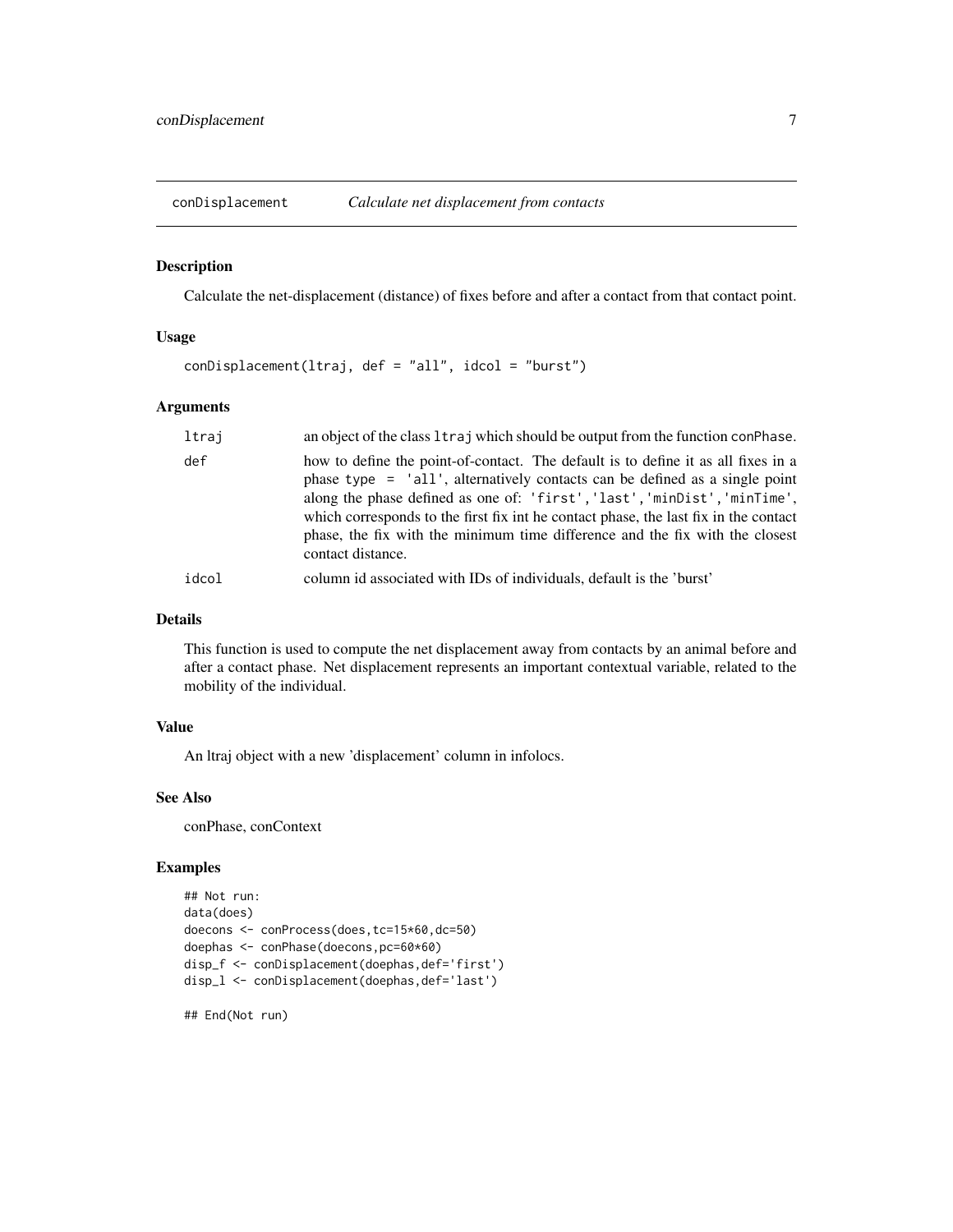<span id="page-6-0"></span>

Calculate the net-displacement (distance) of fixes before and after a contact from that contact point.

#### Usage

```
conDisplacement(ltraj, def = "all", idcol = "burst")
```
#### Arguments

| ltraj | an object of the class 1traj which should be output from the function conPhase.                                                                                                                                                                                                                                                                                                                                                            |
|-------|--------------------------------------------------------------------------------------------------------------------------------------------------------------------------------------------------------------------------------------------------------------------------------------------------------------------------------------------------------------------------------------------------------------------------------------------|
| def   | how to define the point-of-contact. The default is to define it as all fixes in a<br>phase type = 'all', alternatively contacts can be defined as a single point<br>along the phase defined as one of: 'first', 'last', 'minDist', 'minTime',<br>which corresponds to the first fix in the contact phase, the last fix in the contact<br>phase, the fix with the minimum time difference and the fix with the closest<br>contact distance. |
| idcol | column id associated with IDs of individuals, default is the 'burst'                                                                                                                                                                                                                                                                                                                                                                       |

#### Details

This function is used to compute the net displacement away from contacts by an animal before and after a contact phase. Net displacement represents an important contextual variable, related to the mobility of the individual.

# Value

An ltraj object with a new 'displacement' column in infolocs.

# See Also

conPhase, conContext

### Examples

```
## Not run:
data(does)
doecons <- conProcess(does,tc=15*60,dc=50)
doephas <- conPhase(doecons,pc=60*60)
disp_f <- conDisplacement(doephas,def='first')
disp_1 <- conDisplacement(doephas,def='last')
```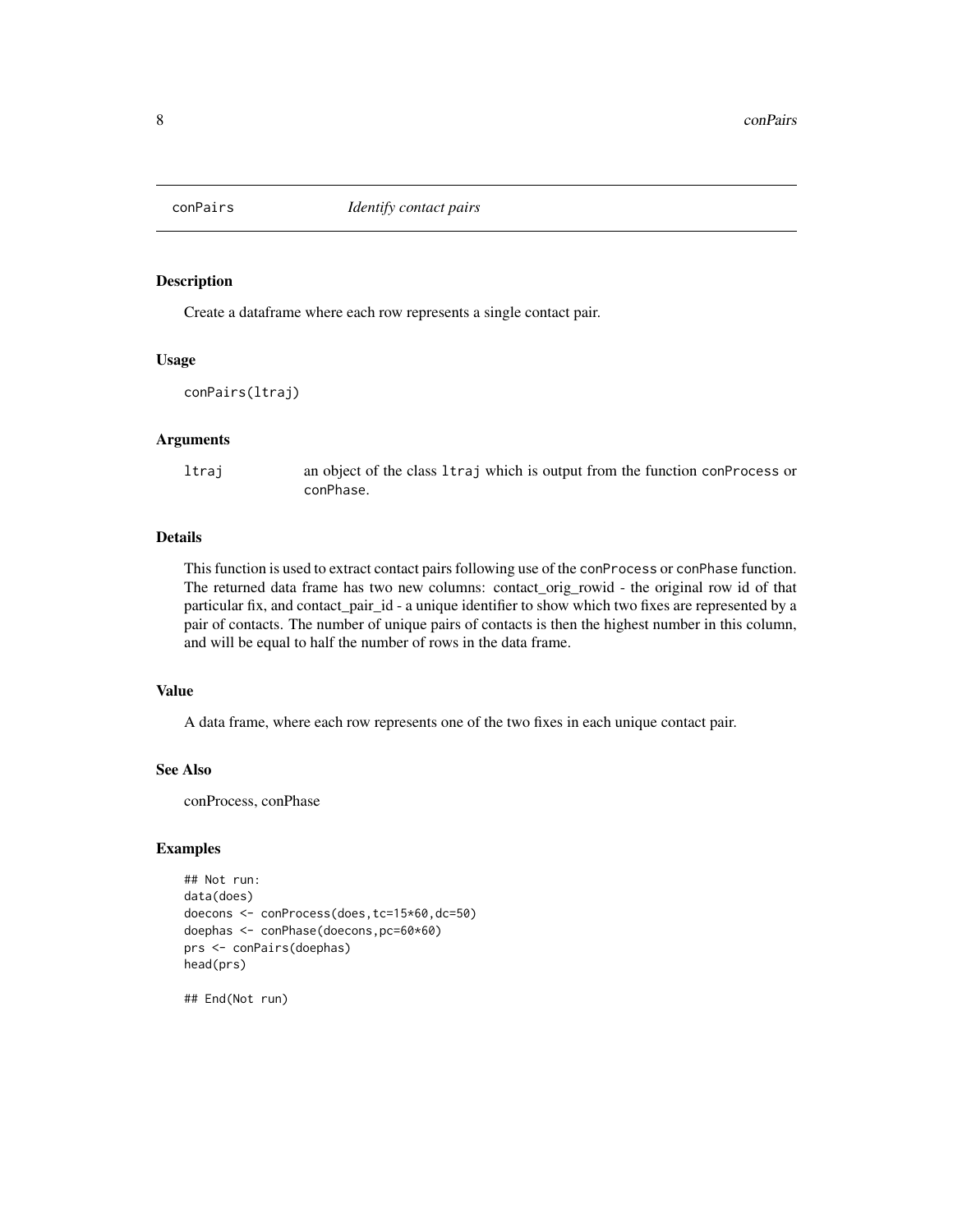<span id="page-7-0"></span>

Create a dataframe where each row represents a single contact pair.

#### Usage

```
conPairs(ltraj)
```
#### Arguments

ltraj an object of the class ltraj which is output from the function conProcess or conPhase.

# Details

This function is used to extract contact pairs following use of the conProcess or conPhase function. The returned data frame has two new columns: contact\_orig\_rowid - the original row id of that particular fix, and contact\_pair\_id - a unique identifier to show which two fixes are represented by a pair of contacts. The number of unique pairs of contacts is then the highest number in this column, and will be equal to half the number of rows in the data frame.

#### Value

A data frame, where each row represents one of the two fixes in each unique contact pair.

# See Also

conProcess, conPhase

### Examples

```
## Not run:
data(does)
doecons <- conProcess(does,tc=15*60,dc=50)
doephas <- conPhase(doecons,pc=60*60)
prs <- conPairs(doephas)
head(prs)
```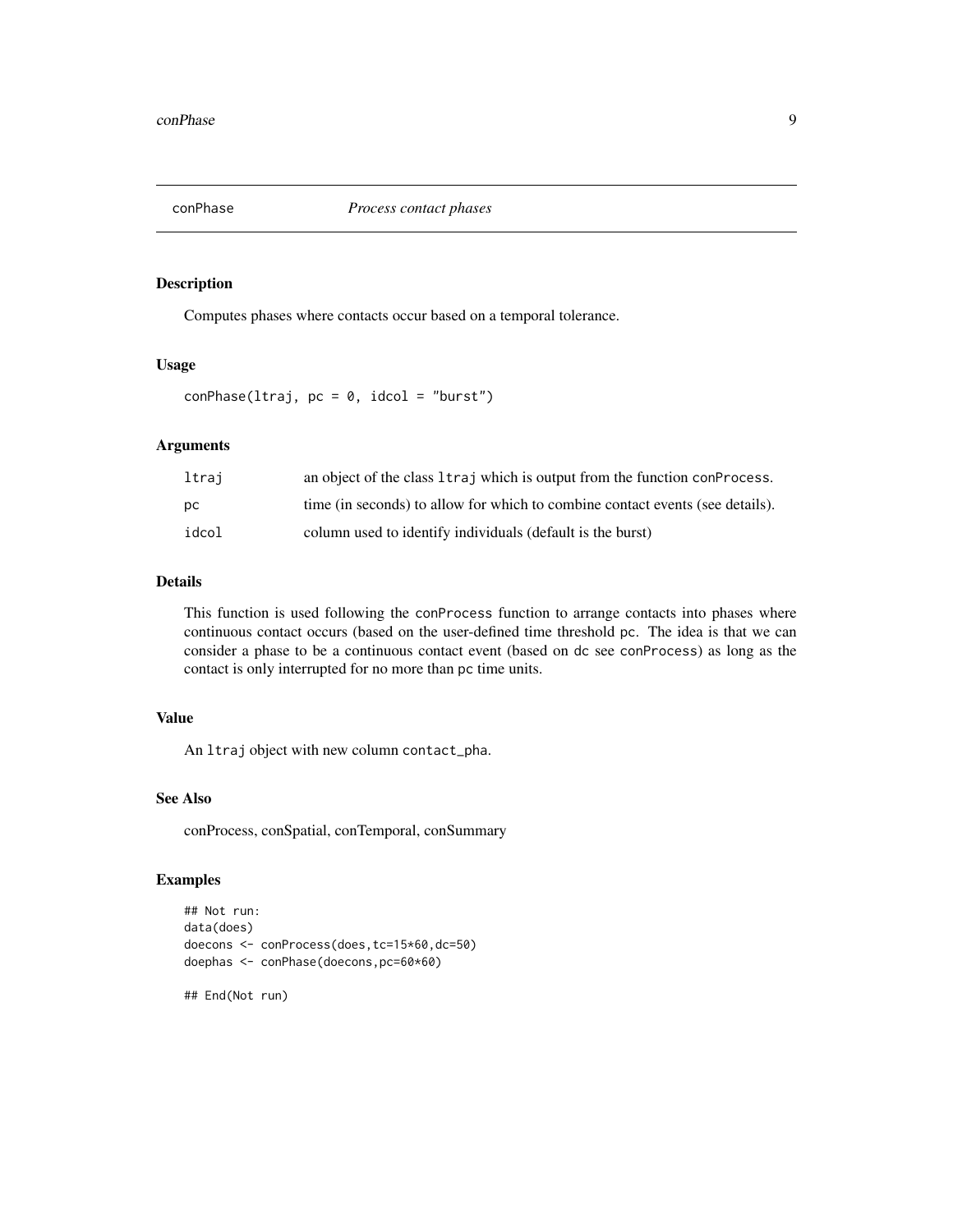<span id="page-8-0"></span>

Computes phases where contacts occur based on a temporal tolerance.

#### Usage

 $conPhase(ltraj, pc = 0, idcol = "burst")$ 

# Arguments

| ltraj | an object of the class 1 traj which is output from the function con Process.  |
|-------|-------------------------------------------------------------------------------|
| DС    | time (in seconds) to allow for which to combine contact events (see details). |
| idcol | column used to identify individuals (default is the burst)                    |

#### Details

This function is used following the conProcess function to arrange contacts into phases where continuous contact occurs (based on the user-defined time threshold pc. The idea is that we can consider a phase to be a continuous contact event (based on dc see conProcess) as long as the contact is only interrupted for no more than pc time units.

# Value

An ltraj object with new column contact\_pha.

# See Also

conProcess, conSpatial, conTemporal, conSummary

#### Examples

```
## Not run:
data(does)
doecons <- conProcess(does,tc=15*60,dc=50)
doephas <- conPhase(doecons,pc=60*60)
```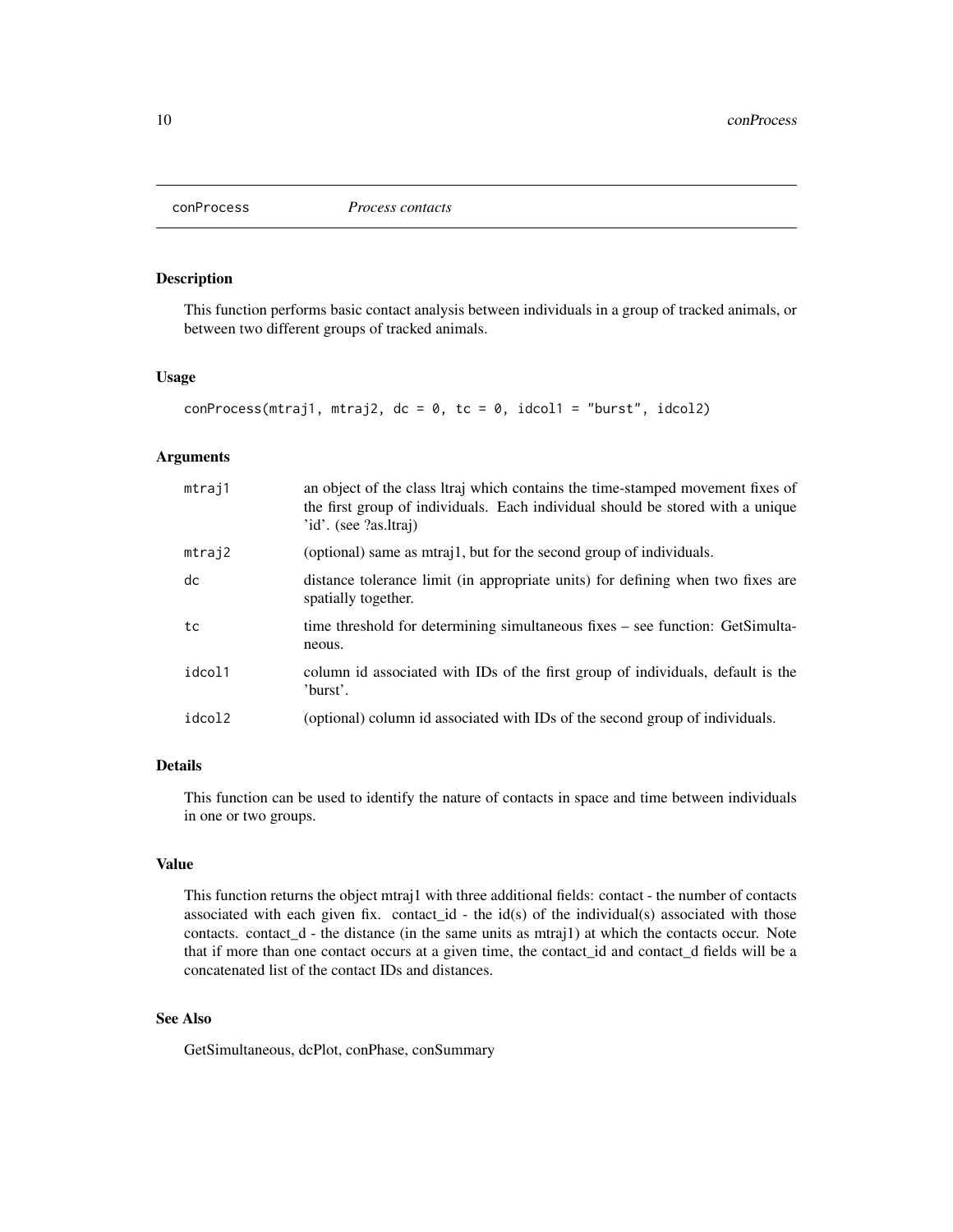<span id="page-9-0"></span>

This function performs basic contact analysis between individuals in a group of tracked animals, or between two different groups of tracked animals.

### Usage

```
conProcess(mtraj1, mtraj2, dc = 0, tc = 0, idcol1 = "burst", idcol2)
```
#### Arguments

| mtraj1 | an object of the class ltraj which contains the time-stamped movement fixes of<br>the first group of individuals. Each individual should be stored with a unique<br>'id'. (see ?as.ltraj) |
|--------|-------------------------------------------------------------------------------------------------------------------------------------------------------------------------------------------|
| mtraj2 | (optional) same as mtraj1, but for the second group of individuals.                                                                                                                       |
| dc     | distance tolerance limit (in appropriate units) for defining when two fixes are<br>spatially together.                                                                                    |
| tc     | time threshold for determining simultaneous fixes – see function: GetSimulta-<br>neous.                                                                                                   |
| idcol1 | column id associated with IDs of the first group of individuals, default is the<br>'burst'.                                                                                               |
| idcol2 | (optional) column id associated with IDs of the second group of individuals.                                                                                                              |

# Details

This function can be used to identify the nature of contacts in space and time between individuals in one or two groups.

# Value

This function returns the object mtraj1 with three additional fields: contact - the number of contacts associated with each given fix. contact\_id - the id(s) of the individual(s) associated with those contacts. contact $_d$  - the distance (in the same units as mtraj1) at which the contacts occur. Note that if more than one contact occurs at a given time, the contact\_id and contact\_d fields will be a concatenated list of the contact IDs and distances.

# See Also

GetSimultaneous, dcPlot, conPhase, conSummary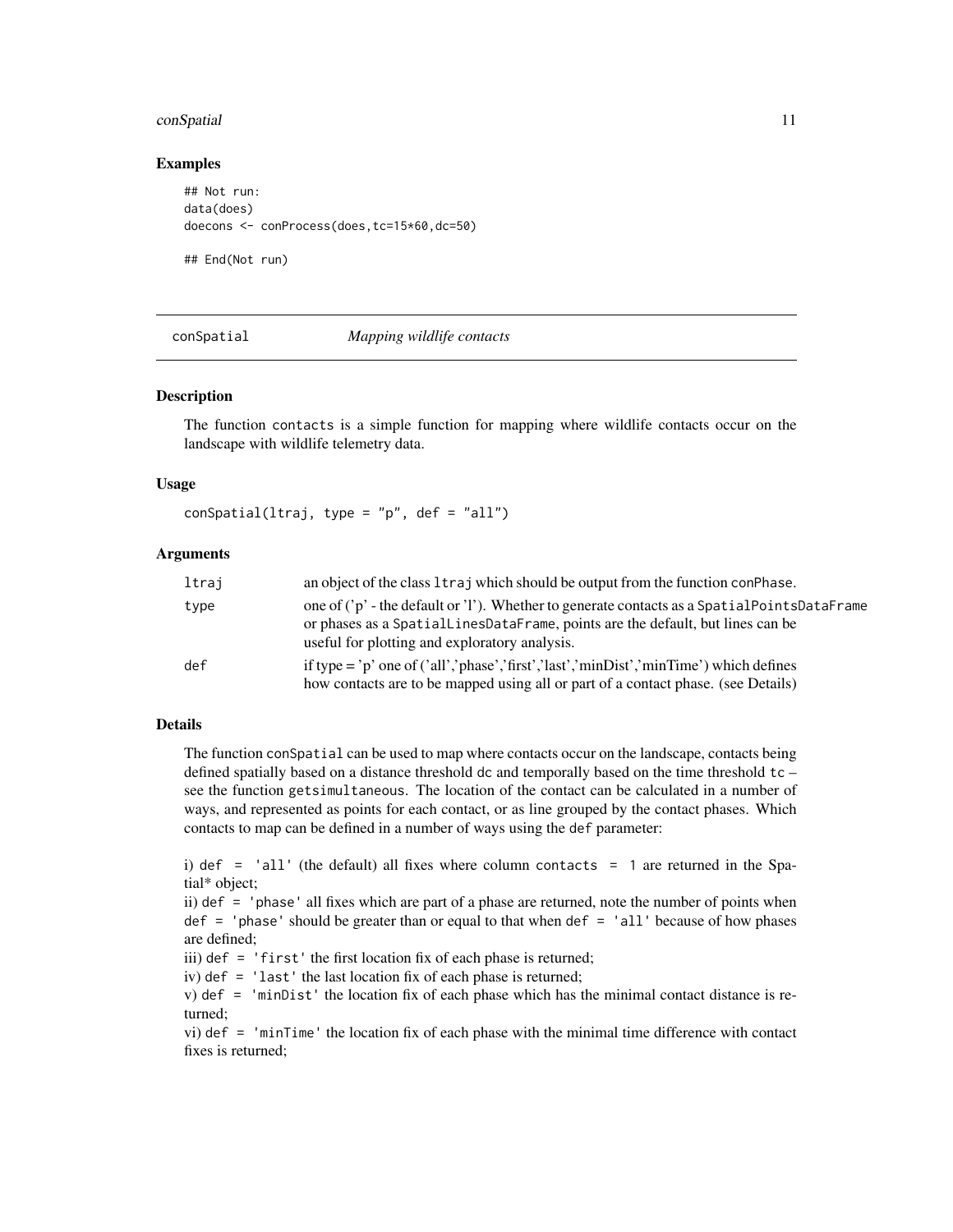#### <span id="page-10-0"></span>conSpatial 11 and 2012 12 and 2013 12 and 2014 12 and 2014 12 and 2014 12 and 2014 12 and 2014 12 and 2014 12 and 2014 12 and 2014 12 and 2014 12 and 2014 12 and 2014 12 and 2014 12 and 2014 12 and 2014 12 and 2014 12 and

#### Examples

```
## Not run:
data(does)
doecons <- conProcess(does,tc=15*60,dc=50)
```
## End(Not run)

conSpatial *Mapping wildlife contacts*

#### Description

The function contacts is a simple function for mapping where wildlife contacts occur on the landscape with wildlife telemetry data.

#### Usage

 $conSpatial(ltraj, type = "p", def = "all")$ 

#### Arguments

| ltraj | an object of the class $l$ traj which should be output from the function conPhase.                                                                                                                                               |
|-------|----------------------------------------------------------------------------------------------------------------------------------------------------------------------------------------------------------------------------------|
| type  | one of ('p' - the default or 'l'). Whether to generate contacts as a Spatial Points DataFrame<br>or phases as a SpatialLinesDataFrame, points are the default, but lines can be<br>useful for plotting and exploratory analysis. |
| def   | if type = 'p' one of ('all','phase','first','last','minDist','minTime') which defines<br>how contacts are to be mapped using all or part of a contact phase. (see Details)                                                       |

# Details

The function conSpatial can be used to map where contacts occur on the landscape, contacts being defined spatially based on a distance threshold dc and temporally based on the time threshold tc – see the function getsimultaneous. The location of the contact can be calculated in a number of ways, and represented as points for each contact, or as line grouped by the contact phases. Which contacts to map can be defined in a number of ways using the def parameter:

```
i) def = 'all' (the default) all fixes where column contacts = 1 are returned in the Spa-
tial* object;
```
ii) def = 'phase' all fixes which are part of a phase are returned, note the number of points when def = 'phase' should be greater than or equal to that when def = 'all' because of how phases are defined;

iii) def = 'first' the first location fix of each phase is returned;

iv) def = 'last' the last location fix of each phase is returned;

v) def = 'minDist' the location fix of each phase which has the minimal contact distance is returned;

vi) def = 'minTime' the location fix of each phase with the minimal time difference with contact fixes is returned;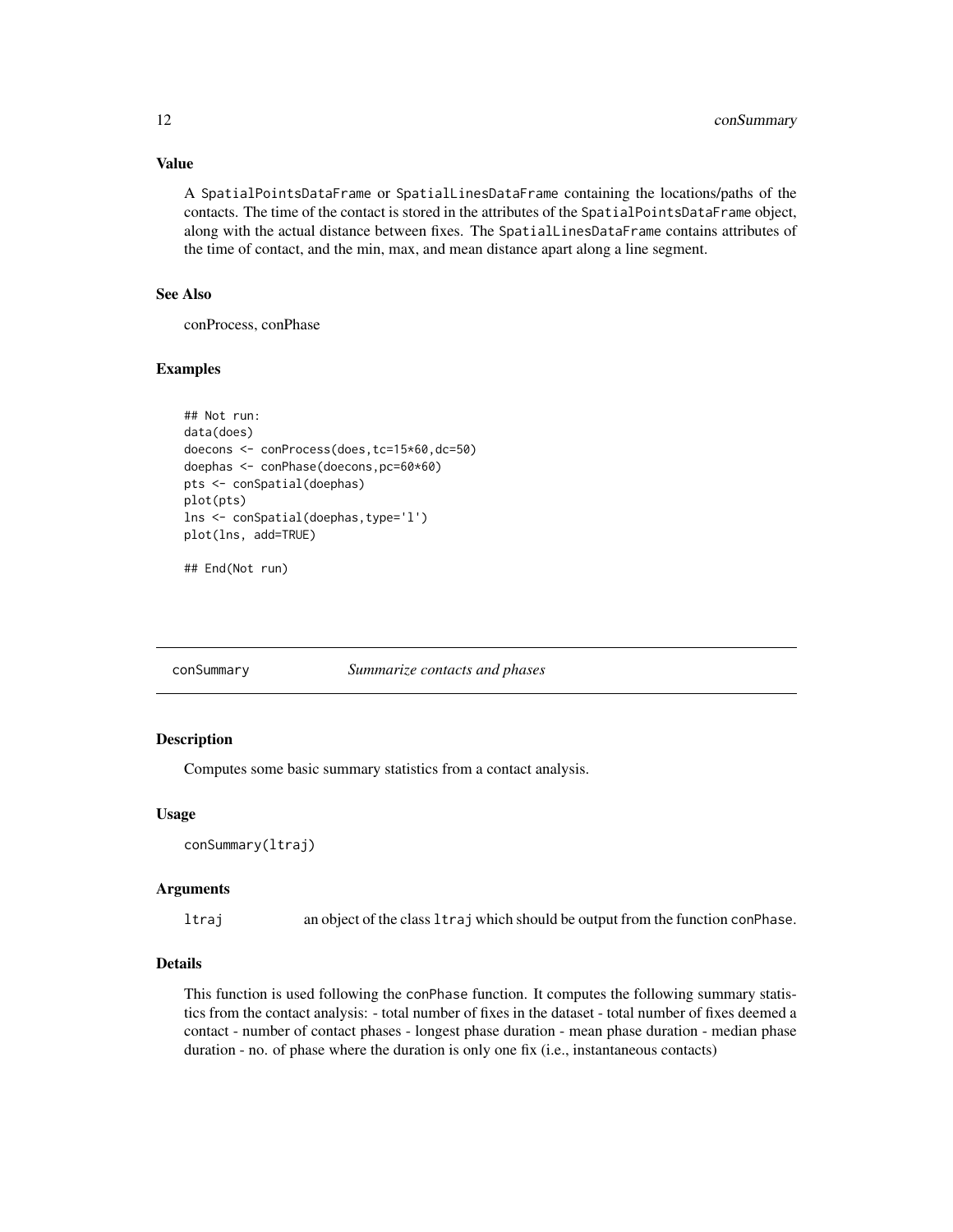# Value

A SpatialPointsDataFrame or SpatialLinesDataFrame containing the locations/paths of the contacts. The time of the contact is stored in the attributes of the SpatialPointsDataFrame object, along with the actual distance between fixes. The SpatialLinesDataFrame contains attributes of the time of contact, and the min, max, and mean distance apart along a line segment.

# See Also

conProcess, conPhase

#### Examples

```
## Not run:
data(does)
doecons <- conProcess(does,tc=15*60,dc=50)
doephas <- conPhase(doecons,pc=60*60)
pts <- conSpatial(doephas)
plot(pts)
lns <- conSpatial(doephas,type='l')
plot(lns, add=TRUE)
```
## End(Not run)

#### conSummary *Summarize contacts and phases*

#### Description

Computes some basic summary statistics from a contact analysis.

#### Usage

```
conSummary(ltraj)
```
#### Arguments

ltraj an object of the class ltraj which should be output from the function conPhase.

### Details

This function is used following the conPhase function. It computes the following summary statistics from the contact analysis: - total number of fixes in the dataset - total number of fixes deemed a contact - number of contact phases - longest phase duration - mean phase duration - median phase duration - no. of phase where the duration is only one fix (i.e., instantaneous contacts)

<span id="page-11-0"></span>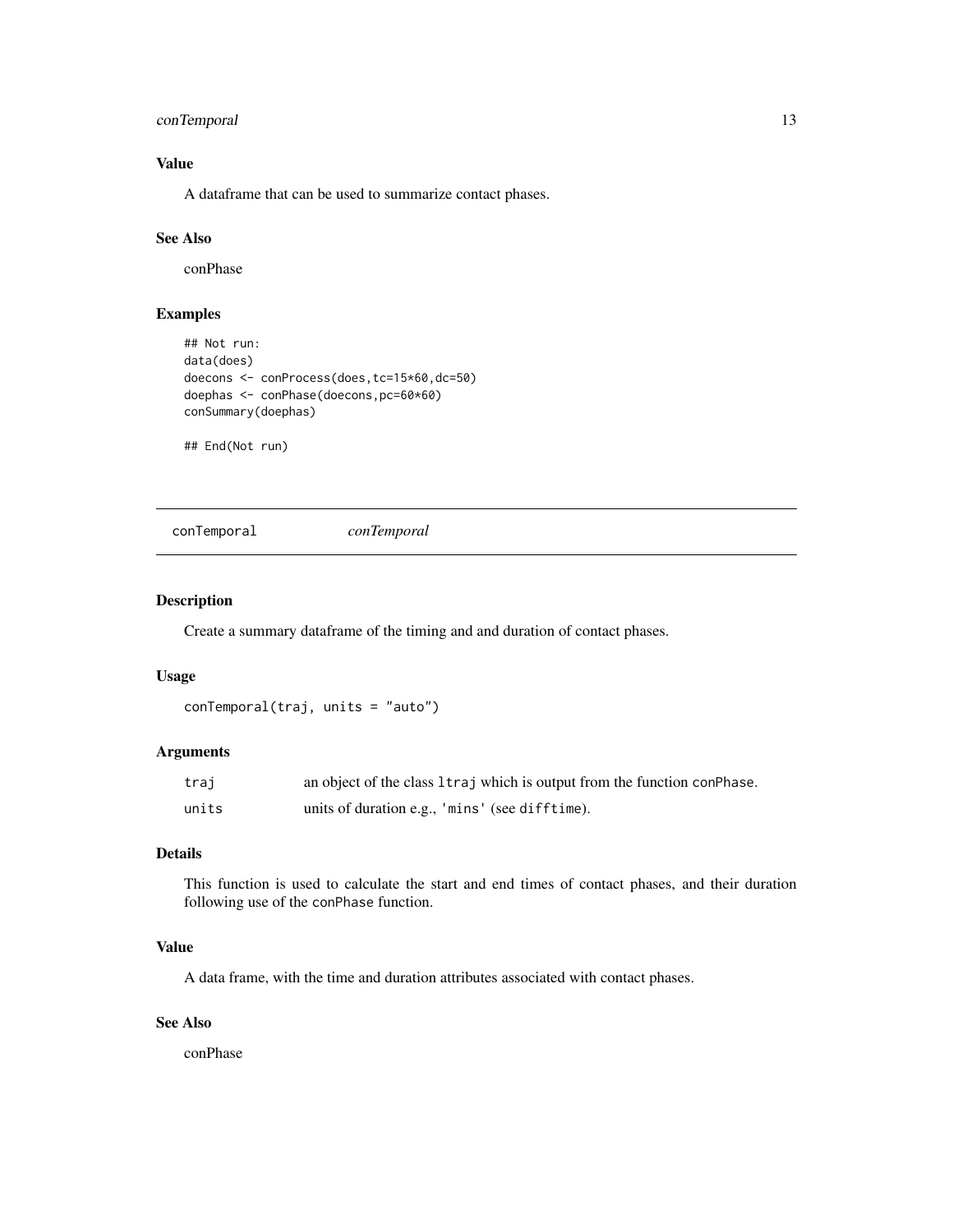# <span id="page-12-0"></span>conTemporal 13

# Value

A dataframe that can be used to summarize contact phases.

# See Also

conPhase

# Examples

```
## Not run:
data(does)
doecons <- conProcess(does,tc=15*60,dc=50)
doephas <- conPhase(doecons,pc=60*60)
conSummary(doephas)
```
## End(Not run)

conTemporal *conTemporal*

## Description

Create a summary dataframe of the timing and and duration of contact phases.

### Usage

```
conTemporal(traj, units = "auto")
```
# Arguments

| traj  | an object of the class 1 traj which is output from the function con Phase. |
|-------|----------------------------------------------------------------------------|
| units | units of duration e.g., 'mins' (see difftime).                             |

# Details

This function is used to calculate the start and end times of contact phases, and their duration following use of the conPhase function.

## Value

A data frame, with the time and duration attributes associated with contact phases.

## See Also

conPhase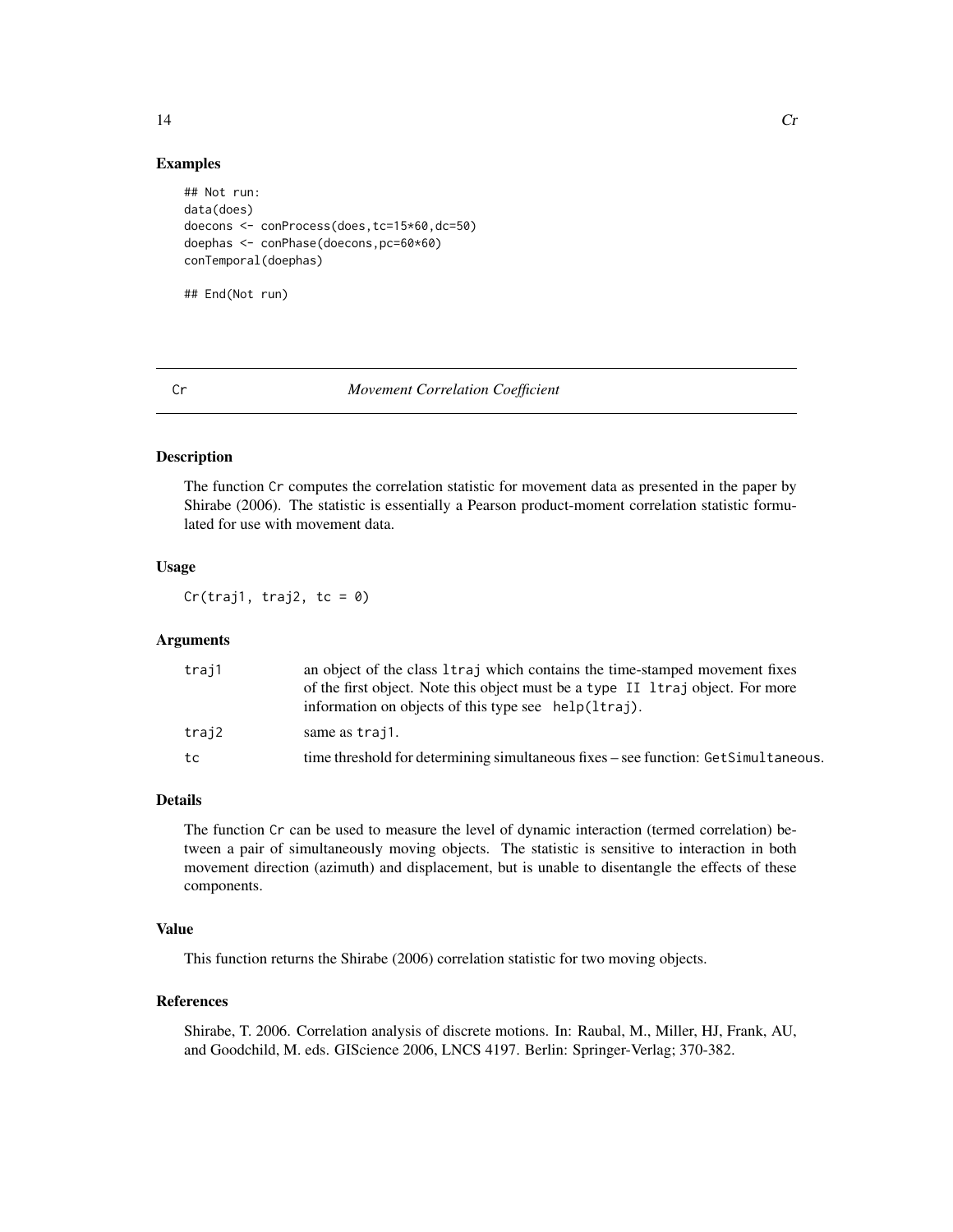<span id="page-13-0"></span>

#### Examples

```
## Not run:
data(does)
doecons <- conProcess(does,tc=15*60,dc=50)
doephas <- conPhase(doecons,pc=60*60)
conTemporal(doephas)
## End(Not run)
```
#### Cr *Movement Correlation Coefficient*

#### Description

The function Cr computes the correlation statistic for movement data as presented in the paper by Shirabe (2006). The statistic is essentially a Pearson product-moment correlation statistic formulated for use with movement data.

### Usage

 $Cr(traj1, traj2, tc = 0)$ 

# Arguments

| traj1 | an object of the class 1 traj which contains the time-stamped movement fixes<br>of the first object. Note this object must be a type II Itraj object. For more |
|-------|----------------------------------------------------------------------------------------------------------------------------------------------------------------|
|       | information on objects of this type see help(ltraj).                                                                                                           |
| traj2 | same as traj1.                                                                                                                                                 |
| tc    | time threshold for determining simultaneous fixes – see function: GetSimultaneous.                                                                             |

# Details

The function Cr can be used to measure the level of dynamic interaction (termed correlation) between a pair of simultaneously moving objects. The statistic is sensitive to interaction in both movement direction (azimuth) and displacement, but is unable to disentangle the effects of these components.

# Value

This function returns the Shirabe (2006) correlation statistic for two moving objects.

### References

Shirabe, T. 2006. Correlation analysis of discrete motions. In: Raubal, M., Miller, HJ, Frank, AU, and Goodchild, M. eds. GIScience 2006, LNCS 4197. Berlin: Springer-Verlag; 370-382.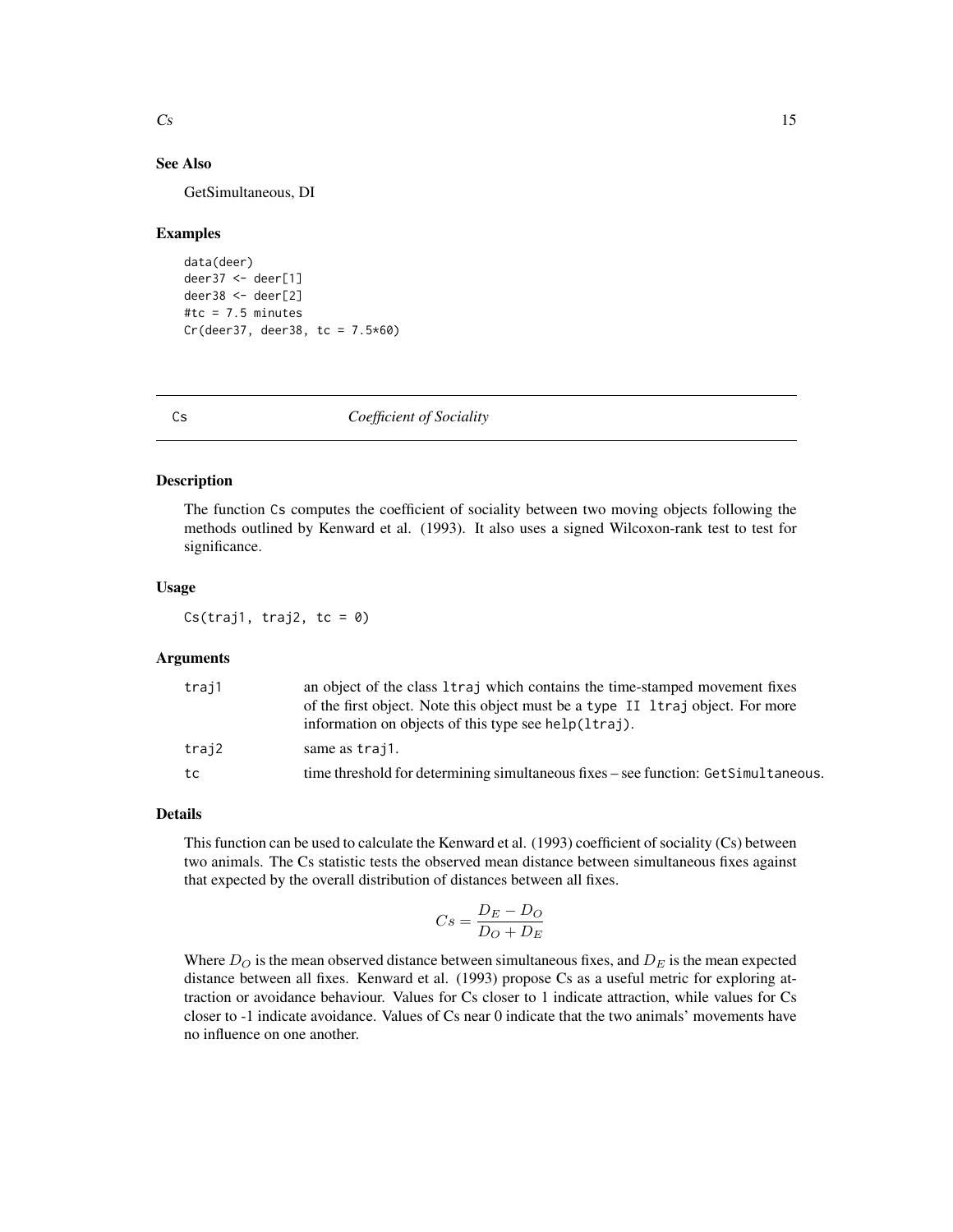# <span id="page-14-0"></span>See Also

GetSimultaneous, DI

#### Examples

```
data(deer)
deer37 <- deer[1]
deer38 <- deer[2]
#tc = 7.5 minutes
Cr(deer37, deer38, tc = 7.5*60)
```
Cs *Coefficient of Sociality*

#### Description

The function Cs computes the coefficient of sociality between two moving objects following the methods outlined by Kenward et al. (1993). It also uses a signed Wilcoxon-rank test to test for significance.

#### Usage

Cs(traj1, traj2, tc =  $0$ )

# Arguments

| traj1 | an object of the class 1 traj which contains the time-stamped movement fixes<br>of the first object. Note this object must be a type II 1 traj object. For more |
|-------|-----------------------------------------------------------------------------------------------------------------------------------------------------------------|
|       | information on objects of this type see help(ltraj).                                                                                                            |
| trai2 | same as traj1.                                                                                                                                                  |
| tc    | time threshold for determining simultaneous fixes – see function: GetSimultaneous.                                                                              |

# Details

This function can be used to calculate the Kenward et al. (1993) coefficient of sociality (Cs) between two animals. The Cs statistic tests the observed mean distance between simultaneous fixes against that expected by the overall distribution of distances between all fixes.

$$
Cs = \frac{D_E - D_O}{D_O + D_E}
$$

Where  $D<sub>O</sub>$  is the mean observed distance between simultaneous fixes, and  $D<sub>E</sub>$  is the mean expected distance between all fixes. Kenward et al. (1993) propose Cs as a useful metric for exploring attraction or avoidance behaviour. Values for Cs closer to 1 indicate attraction, while values for Cs closer to -1 indicate avoidance. Values of Cs near 0 indicate that the two animals' movements have no influence on one another.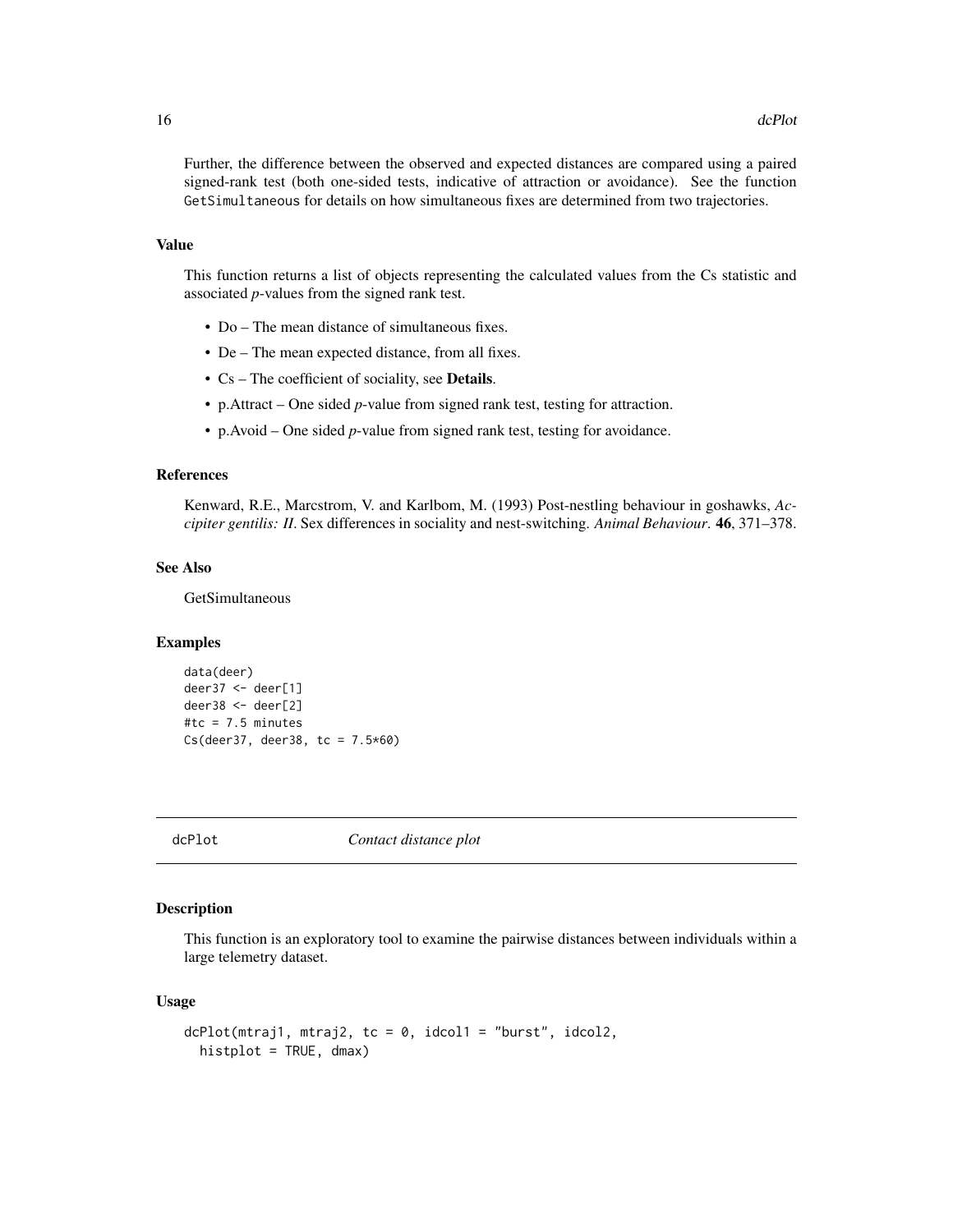<span id="page-15-0"></span>Further, the difference between the observed and expected distances are compared using a paired signed-rank test (both one-sided tests, indicative of attraction or avoidance). See the function GetSimultaneous for details on how simultaneous fixes are determined from two trajectories.

#### Value

This function returns a list of objects representing the calculated values from the Cs statistic and associated *p*-values from the signed rank test.

- Do The mean distance of simultaneous fixes.
- De The mean expected distance, from all fixes.
- Cs The coefficient of sociality, see Details.
- p.Attract One sided *p*-value from signed rank test, testing for attraction.
- p.Avoid One sided *p*-value from signed rank test, testing for avoidance.

#### References

Kenward, R.E., Marcstrom, V. and Karlbom, M. (1993) Post-nestling behaviour in goshawks, *Accipiter gentilis: II*. Sex differences in sociality and nest-switching. *Animal Behaviour*. 46, 371–378.

#### See Also

GetSimultaneous

# Examples

```
data(deer)
deer37 <- deer[1]
deer38 <- deer[2]
#tc = 7.5 minutes
Cs(deer37, deer38, tc = 7.5*60)
```
dcPlot *Contact distance plot*

## **Description**

This function is an exploratory tool to examine the pairwise distances between individuals within a large telemetry dataset.

#### Usage

```
dcPlot(mtraj1, mtraj2, tc = 0, idcol1 = "burst", idcol2,histplot = TRUE, dmax)
```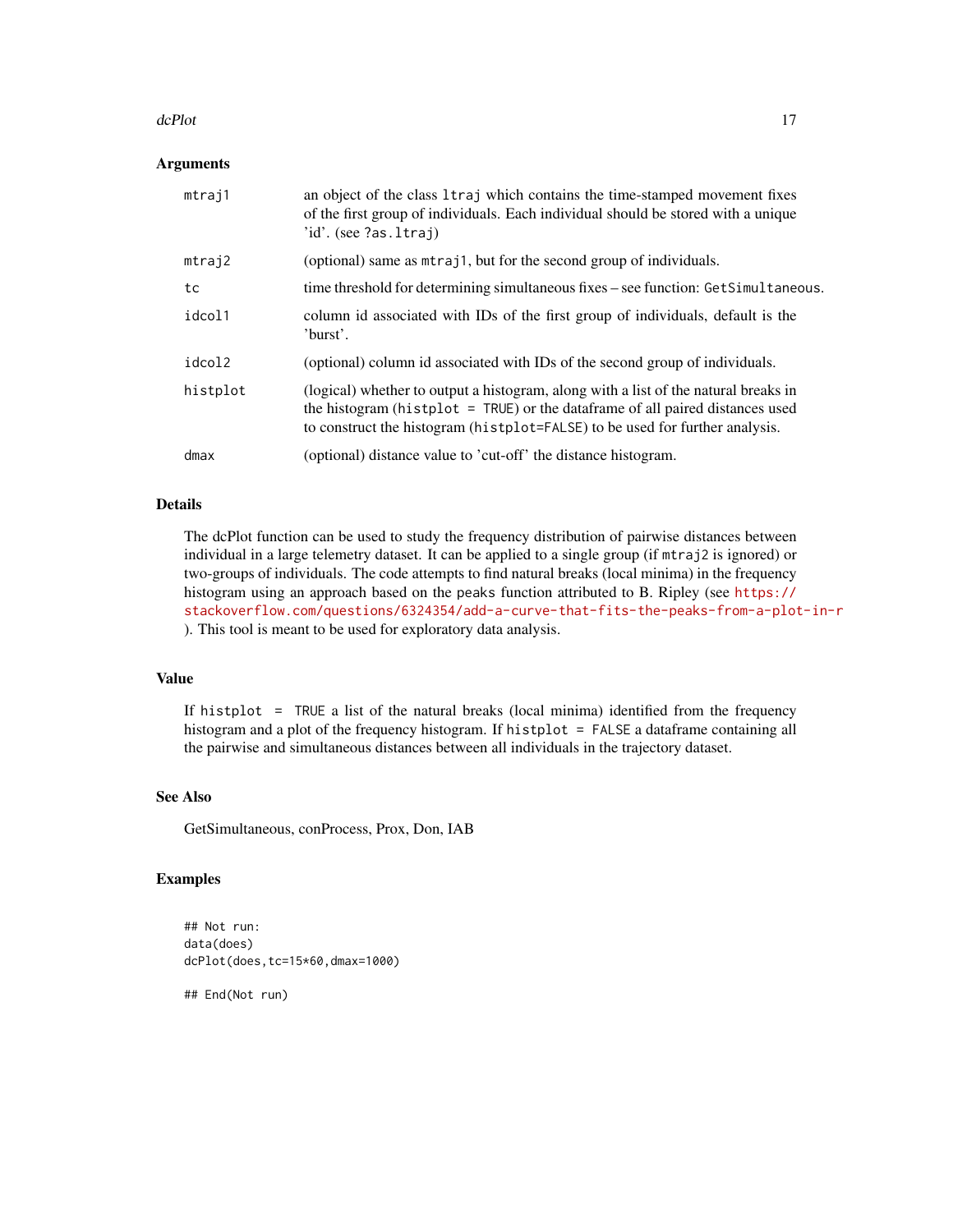#### dcPlot the contract of the contract of the contract of the contract of the contract of the contract of the contract of the contract of the contract of the contract of the contract of the contract of the contract of the con

#### Arguments

| mtraj1   | an object of the class 1traj which contains the time-stamped movement fixes<br>of the first group of individuals. Each individual should be stored with a unique<br>'id'. (see ?as.ltraj)                                                               |
|----------|---------------------------------------------------------------------------------------------------------------------------------------------------------------------------------------------------------------------------------------------------------|
| mtraj2   | (optional) same as mtraj1, but for the second group of individuals.                                                                                                                                                                                     |
| tc       | time threshold for determining simultaneous fixes – see function: GetSimultaneous.                                                                                                                                                                      |
| idcol1   | column id associated with IDs of the first group of individuals, default is the<br>'burst'.                                                                                                                                                             |
| idcol2   | (optional) column id associated with IDs of the second group of individuals.                                                                                                                                                                            |
| histplot | (logical) whether to output a histogram, along with a list of the natural breaks in<br>the histogram (histplot $=$ TRUE) or the data frame of all paired distances used<br>to construct the histogram (histplot=FALSE) to be used for further analysis. |
| dmax     | (optional) distance value to 'cut-off' the distance histogram.                                                                                                                                                                                          |

# Details

The dcPlot function can be used to study the frequency distribution of pairwise distances between individual in a large telemetry dataset. It can be applied to a single group (if mtraj2 is ignored) or two-groups of individuals. The code attempts to find natural breaks (local minima) in the frequency histogram using an approach based on the peaks function attributed to B. Ripley (see [https://](https://stackoverflow.com/questions/6324354/add-a-curve-that-fits-the-peaks-from-a-plot-in-r) [stackoverflow.com/questions/6324354/add-a-curve-that-fits-the-peaks-from-a-plot-in-r](https://stackoverflow.com/questions/6324354/add-a-curve-that-fits-the-peaks-from-a-plot-in-r) ). This tool is meant to be used for exploratory data analysis.

# Value

If histplot = TRUE a list of the natural breaks (local minima) identified from the frequency histogram and a plot of the frequency histogram. If histplot = FALSE a dataframe containing all the pairwise and simultaneous distances between all individuals in the trajectory dataset.

# See Also

GetSimultaneous, conProcess, Prox, Don, IAB

#### Examples

```
## Not run:
data(does)
dcPlot(does,tc=15*60,dmax=1000)
```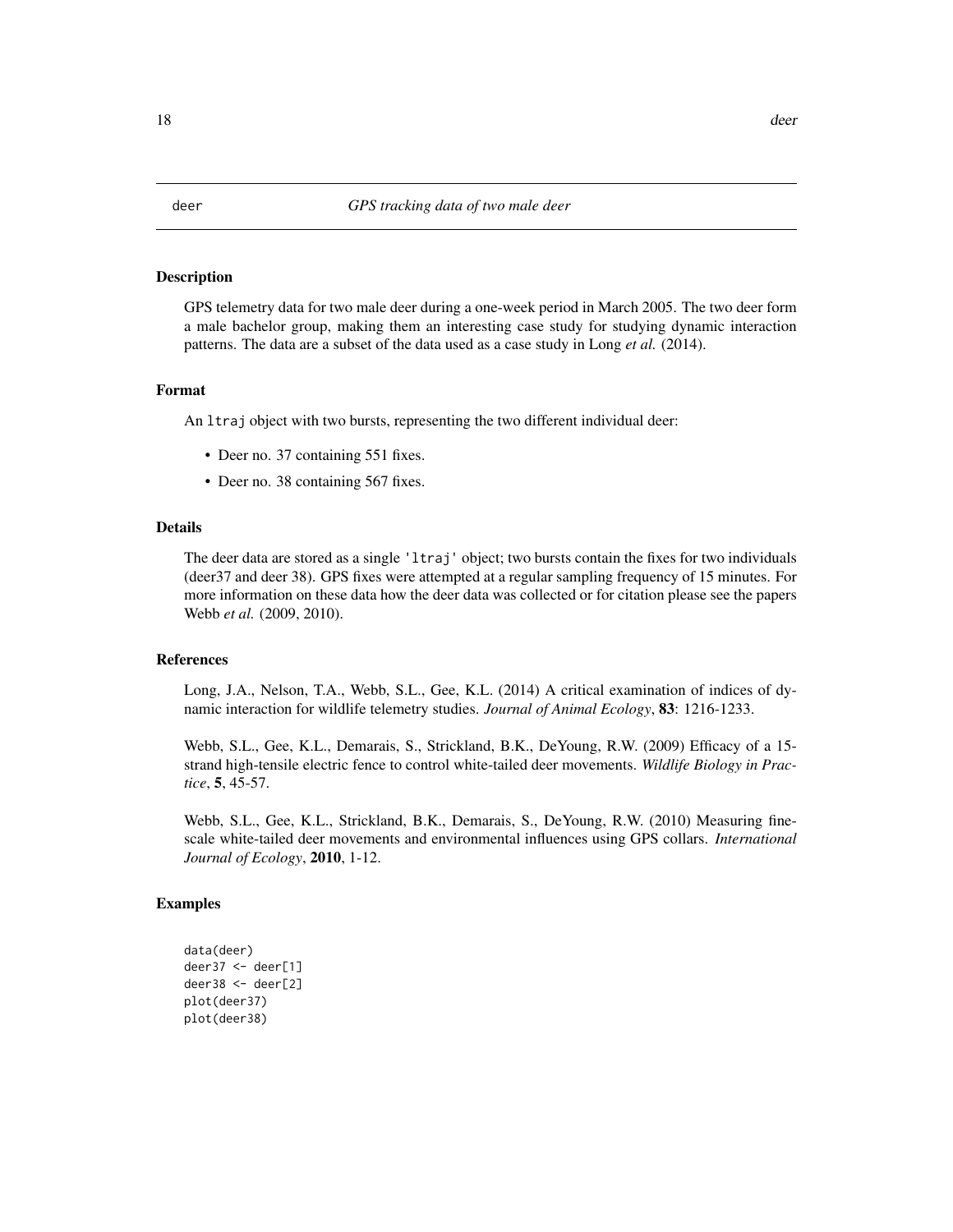<span id="page-17-0"></span>GPS telemetry data for two male deer during a one-week period in March 2005. The two deer form a male bachelor group, making them an interesting case study for studying dynamic interaction patterns. The data are a subset of the data used as a case study in Long *et al.* (2014).

#### Format

An ltraj object with two bursts, representing the two different individual deer:

- Deer no. 37 containing 551 fixes.
- Deer no. 38 containing 567 fixes.

#### Details

The deer data are stored as a single 'ltraj' object; two bursts contain the fixes for two individuals (deer37 and deer 38). GPS fixes were attempted at a regular sampling frequency of 15 minutes. For more information on these data how the deer data was collected or for citation please see the papers Webb *et al.* (2009, 2010).

#### References

Long, J.A., Nelson, T.A., Webb, S.L., Gee, K.L. (2014) A critical examination of indices of dynamic interaction for wildlife telemetry studies. *Journal of Animal Ecology*, 83: 1216-1233.

Webb, S.L., Gee, K.L., Demarais, S., Strickland, B.K., DeYoung, R.W. (2009) Efficacy of a 15 strand high-tensile electric fence to control white-tailed deer movements. *Wildlife Biology in Practice*, 5, 45-57.

Webb, S.L., Gee, K.L., Strickland, B.K., Demarais, S., DeYoung, R.W. (2010) Measuring finescale white-tailed deer movements and environmental influences using GPS collars. *International Journal of Ecology*, 2010, 1-12.

```
data(deer)
deer37 <- deer[1]
deer38 <- deer[2]
plot(deer37)
plot(deer38)
```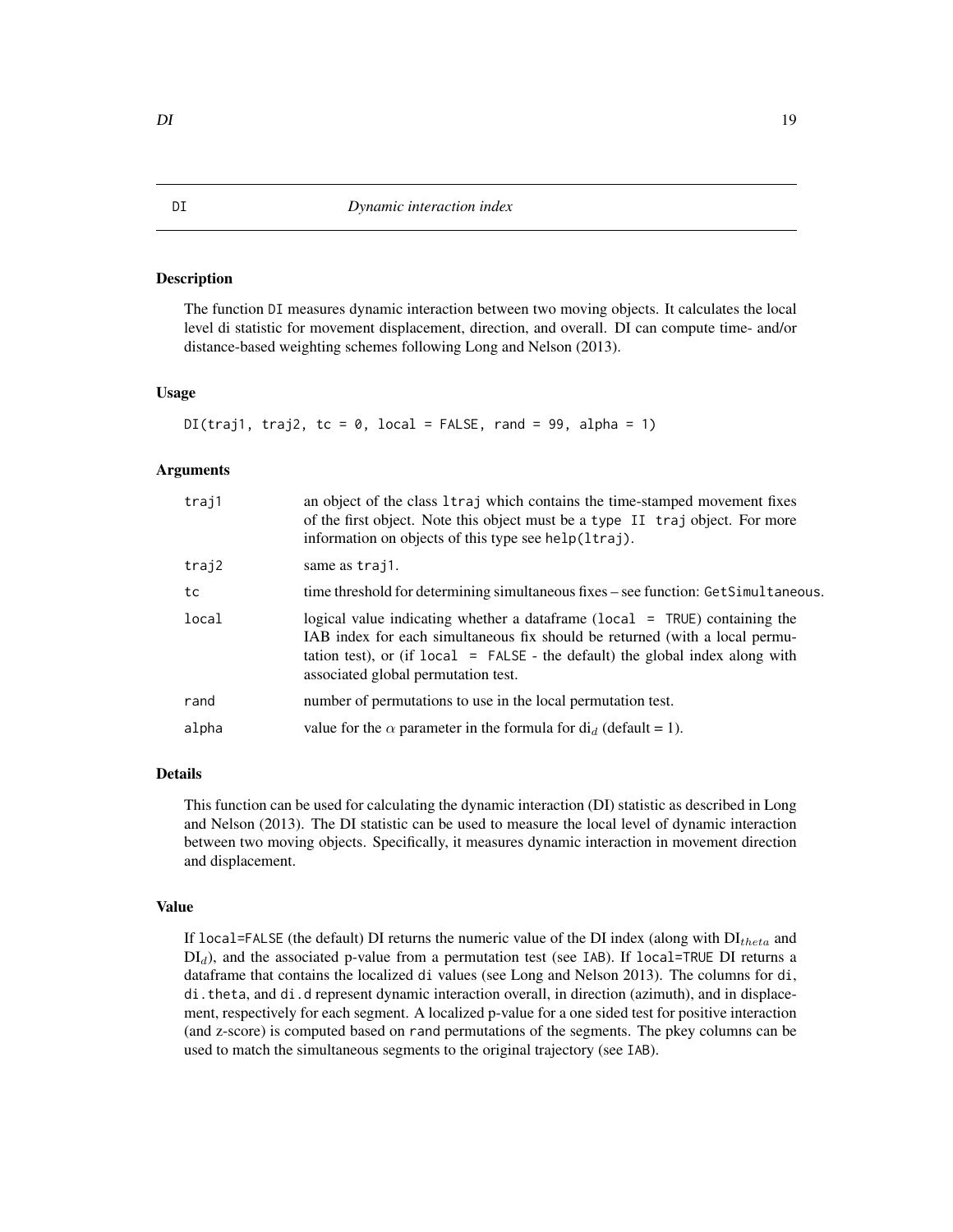<span id="page-18-0"></span>The function DI measures dynamic interaction between two moving objects. It calculates the local level di statistic for movement displacement, direction, and overall. DI can compute time- and/or distance-based weighting schemes following Long and Nelson (2013).

#### Usage

```
DI(traj1, traj2, tc = 0, local = FALSE, rand = 99, alpha = 1)
```
### Arguments

| traj1 | an object of the class 1 traj which contains the time-stamped movement fixes<br>of the first object. Note this object must be a type II traj object. For more<br>information on objects of this type see help(ltraj).                                                                    |
|-------|------------------------------------------------------------------------------------------------------------------------------------------------------------------------------------------------------------------------------------------------------------------------------------------|
| traj2 | same as traj1.                                                                                                                                                                                                                                                                           |
| tc    | time threshold for determining simultaneous fixes – see function: GetSimultaneous.                                                                                                                                                                                                       |
| local | logical value indicating whether a data frame ( $local = TRUE$ ) containing the<br>IAB index for each simultaneous fix should be returned (with a local permu-<br>tation test), or (if $local = FALSE$ - the default) the global index along with<br>associated global permutation test. |
| rand  | number of permutations to use in the local permutation test.                                                                                                                                                                                                                             |
| alpha | value for the $\alpha$ parameter in the formula for $di_d$ (default = 1).                                                                                                                                                                                                                |
|       |                                                                                                                                                                                                                                                                                          |

#### Details

This function can be used for calculating the dynamic interaction (DI) statistic as described in Long and Nelson (2013). The DI statistic can be used to measure the local level of dynamic interaction between two moving objects. Specifically, it measures dynamic interaction in movement direction and displacement.

#### Value

If local=FALSE (the default) DI returns the numeric value of the DI index (along with  $DI_{theta}$  and  $DI<sub>d</sub>$ ), and the associated p-value from a permutation test (see IAB). If local=TRUE DI returns a dataframe that contains the localized di values (see Long and Nelson 2013). The columns for di, di.theta, and di.d represent dynamic interaction overall, in direction (azimuth), and in displacement, respectively for each segment. A localized p-value for a one sided test for positive interaction (and z-score) is computed based on rand permutations of the segments. The pkey columns can be used to match the simultaneous segments to the original trajectory (see IAB).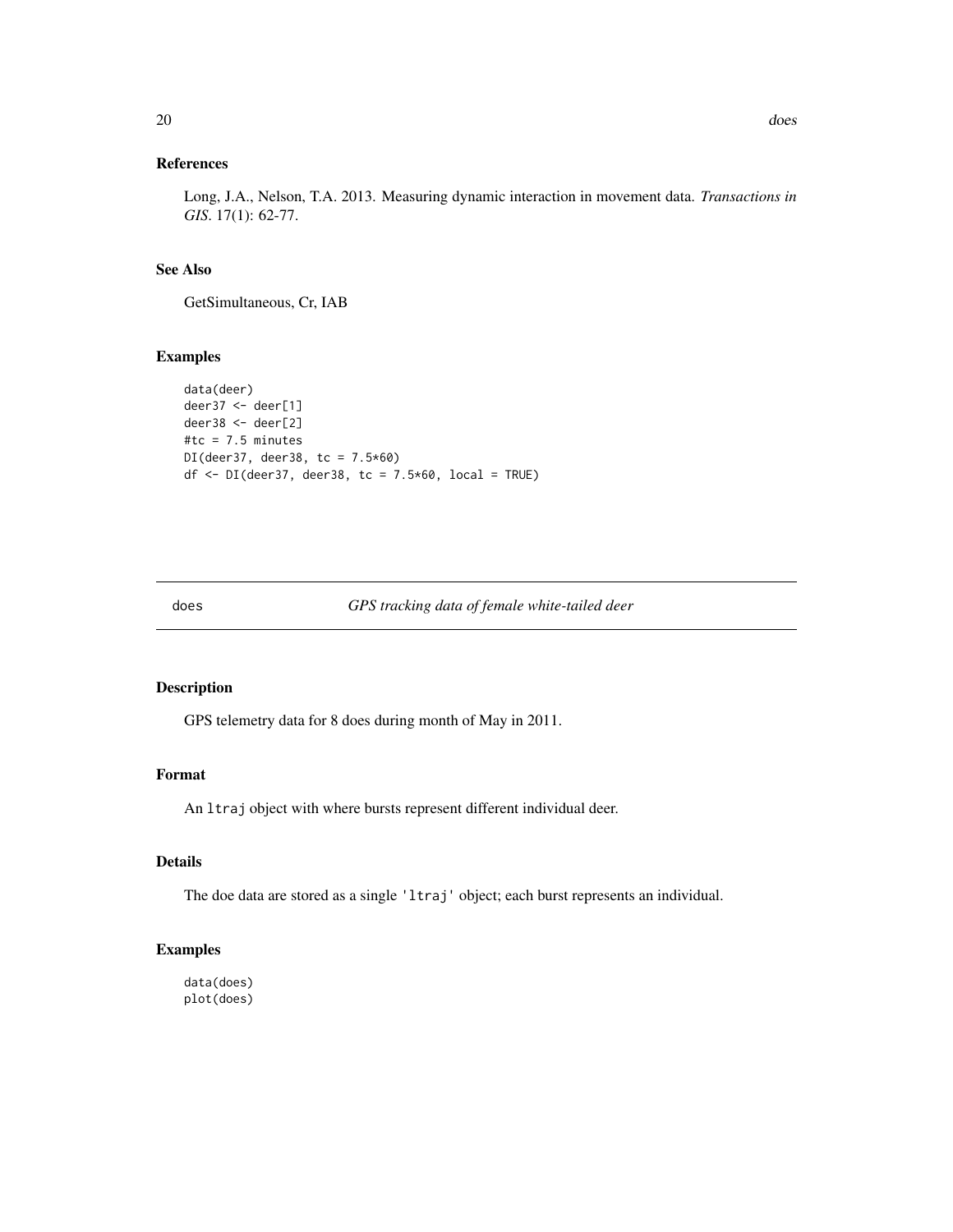# <span id="page-19-0"></span>References

Long, J.A., Nelson, T.A. 2013. Measuring dynamic interaction in movement data. *Transactions in GIS*. 17(1): 62-77.

# See Also

GetSimultaneous, Cr, IAB

#### Examples

```
data(deer)
deer37 <- deer[1]
deer38 <- deer[2]
#tc = 7.5 minutes
DI(deer37, deer38, tc = 7.5*60)
df \leq DI(deer37, deer38, tc = 7.5*60, local = TRUE)
```
#### does *GPS tracking data of female white-tailed deer*

#### Description

GPS telemetry data for 8 does during month of May in 2011.

#### Format

An ltraj object with where bursts represent different individual deer.

# Details

The doe data are stored as a single 'ltraj' object; each burst represents an individual.

# Examples

data(does) plot(does)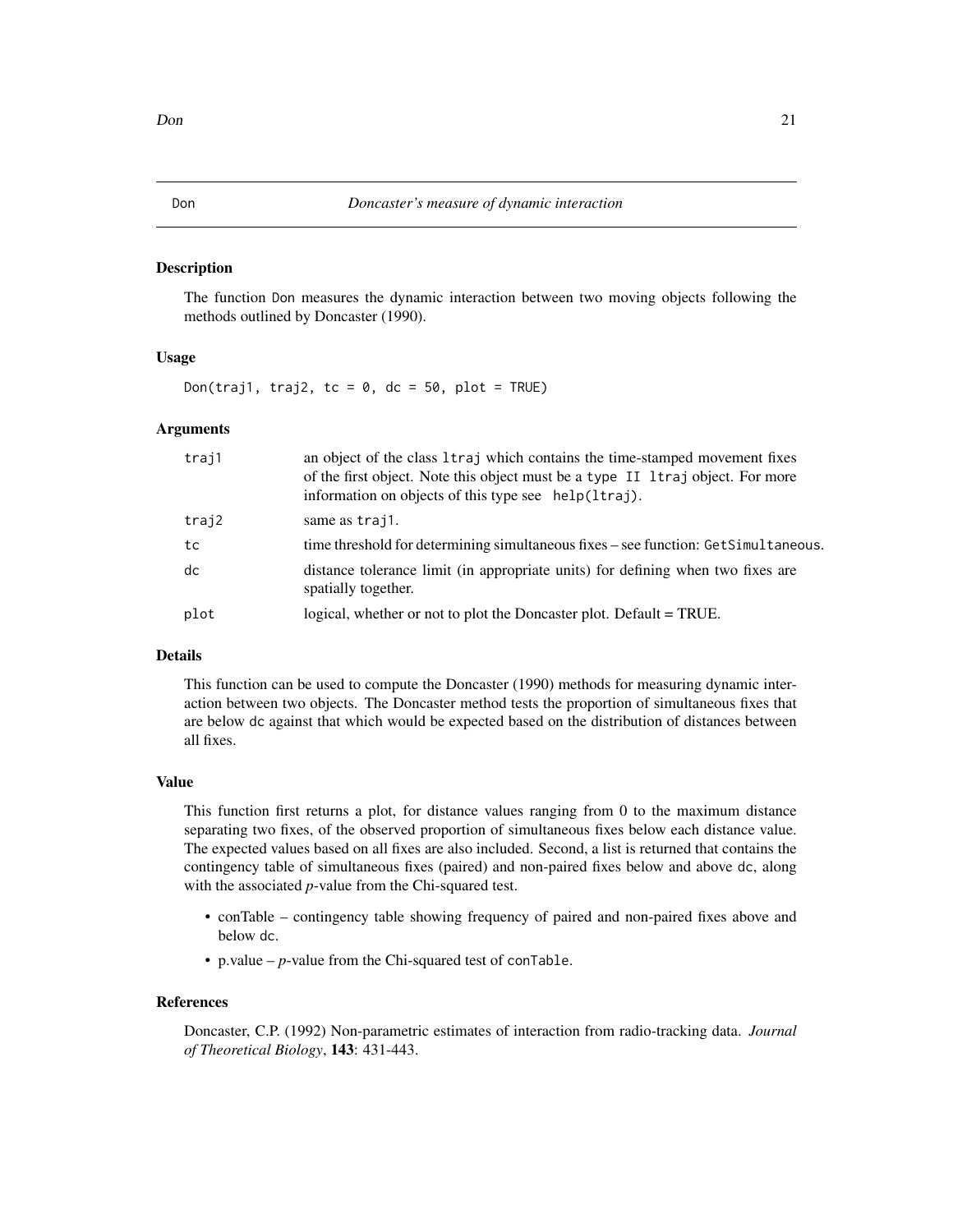<span id="page-20-0"></span>The function Don measures the dynamic interaction between two moving objects following the methods outlined by Doncaster (1990).

# Usage

Don(traj1, traj2, tc =  $0$ , dc =  $50$ , plot = TRUE)

#### Arguments

| traj1 | an object of the class 1traj which contains the time-stamped movement fixes<br>of the first object. Note this object must be a type II 1 traj object. For more<br>information on objects of this type see help(ltraj). |
|-------|------------------------------------------------------------------------------------------------------------------------------------------------------------------------------------------------------------------------|
| traj2 | same as trajl.                                                                                                                                                                                                         |
| tc    | time threshold for determining simultaneous fixes – see function: GetSimultaneous.                                                                                                                                     |
| dc    | distance tolerance limit (in appropriate units) for defining when two fixes are<br>spatially together.                                                                                                                 |
| plot  | logical, whether or not to plot the Doncaster plot. Default = TRUE.                                                                                                                                                    |

#### Details

This function can be used to compute the Doncaster (1990) methods for measuring dynamic interaction between two objects. The Doncaster method tests the proportion of simultaneous fixes that are below dc against that which would be expected based on the distribution of distances between all fixes.

#### Value

This function first returns a plot, for distance values ranging from 0 to the maximum distance separating two fixes, of the observed proportion of simultaneous fixes below each distance value. The expected values based on all fixes are also included. Second, a list is returned that contains the contingency table of simultaneous fixes (paired) and non-paired fixes below and above dc, along with the associated *p*-value from the Chi-squared test.

- conTable contingency table showing frequency of paired and non-paired fixes above and below dc.
- p.value *p*-value from the Chi-squared test of conTable.

#### References

Doncaster, C.P. (1992) Non-parametric estimates of interaction from radio-tracking data. *Journal of Theoretical Biology*, 143: 431-443.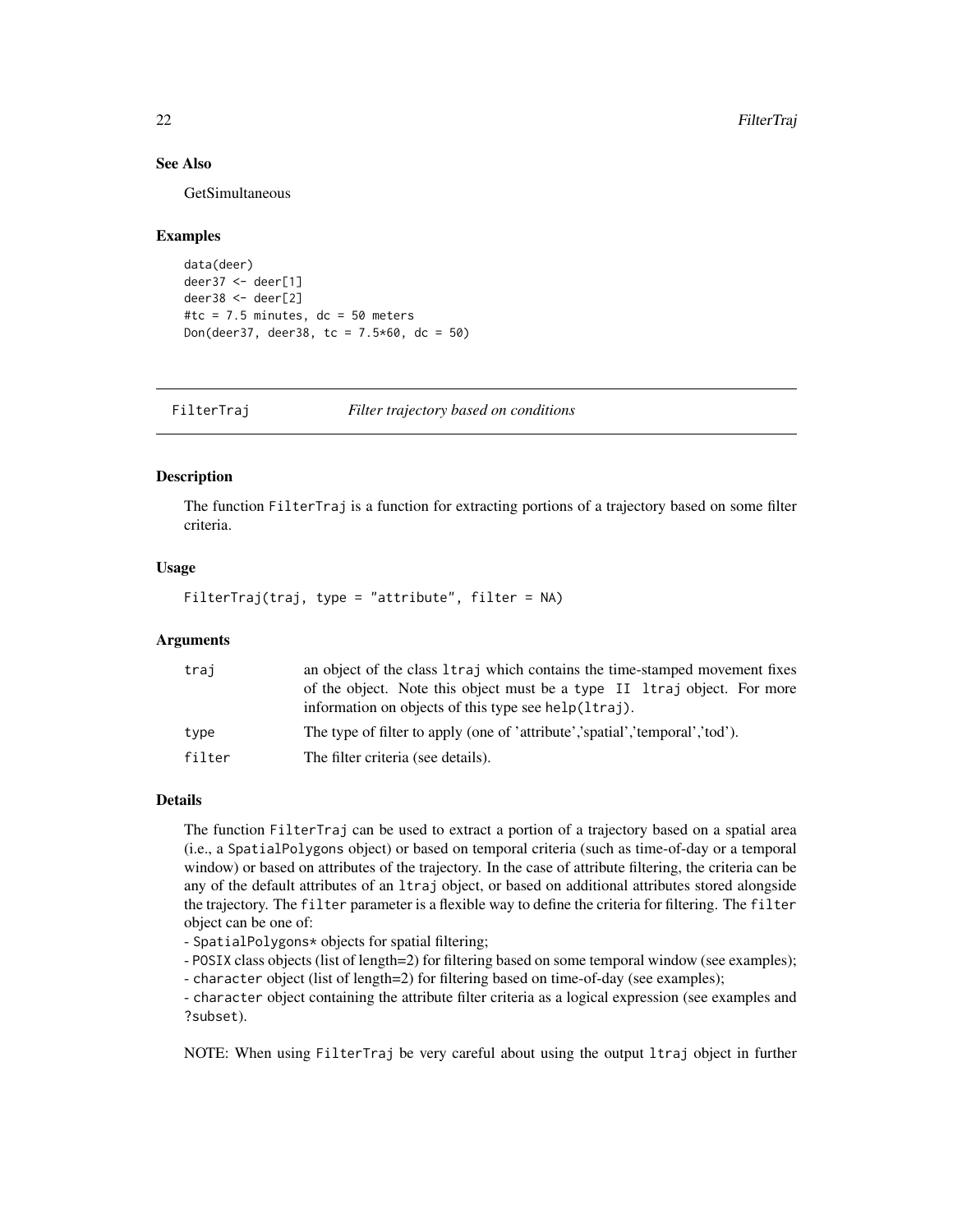# See Also

GetSimultaneous

#### Examples

```
data(deer)
deer37 <- deer[1]
deer38 <- deer[2]
#tc = 7.5 minutes, dc = 50 meters
Don(deer37, deer38, tc = 7.5*60, dc = 50)
```
FilterTraj *Filter trajectory based on conditions*

# Description

The function FilterTraj is a function for extracting portions of a trajectory based on some filter criteria.

#### Usage

FilterTraj(traj, type = "attribute", filter = NA)

# Arguments

| traj   | an object of the class 1 traj which contains the time-stamped movement fixes                                                     |
|--------|----------------------------------------------------------------------------------------------------------------------------------|
|        | of the object. Note this object must be a type II Itraj object. For more<br>information on objects of this type see help(ltraj). |
| type   | The type of filter to apply (one of 'attribute','spatial','temporal','tod').                                                     |
| filter | The filter criteria (see details).                                                                                               |

# Details

The function FilterTraj can be used to extract a portion of a trajectory based on a spatial area (i.e., a SpatialPolygons object) or based on temporal criteria (such as time-of-day or a temporal window) or based on attributes of the trajectory. In the case of attribute filtering, the criteria can be any of the default attributes of an ltraj object, or based on additional attributes stored alongside the trajectory. The filter parameter is a flexible way to define the criteria for filtering. The filter object can be one of:

- SpatialPolygons\* objects for spatial filtering;

- POSIX class objects (list of length=2) for filtering based on some temporal window (see examples);

- character object (list of length=2) for filtering based on time-of-day (see examples);

- character object containing the attribute filter criteria as a logical expression (see examples and ?subset).

NOTE: When using FilterTraj be very careful about using the output ltraj object in further

<span id="page-21-0"></span>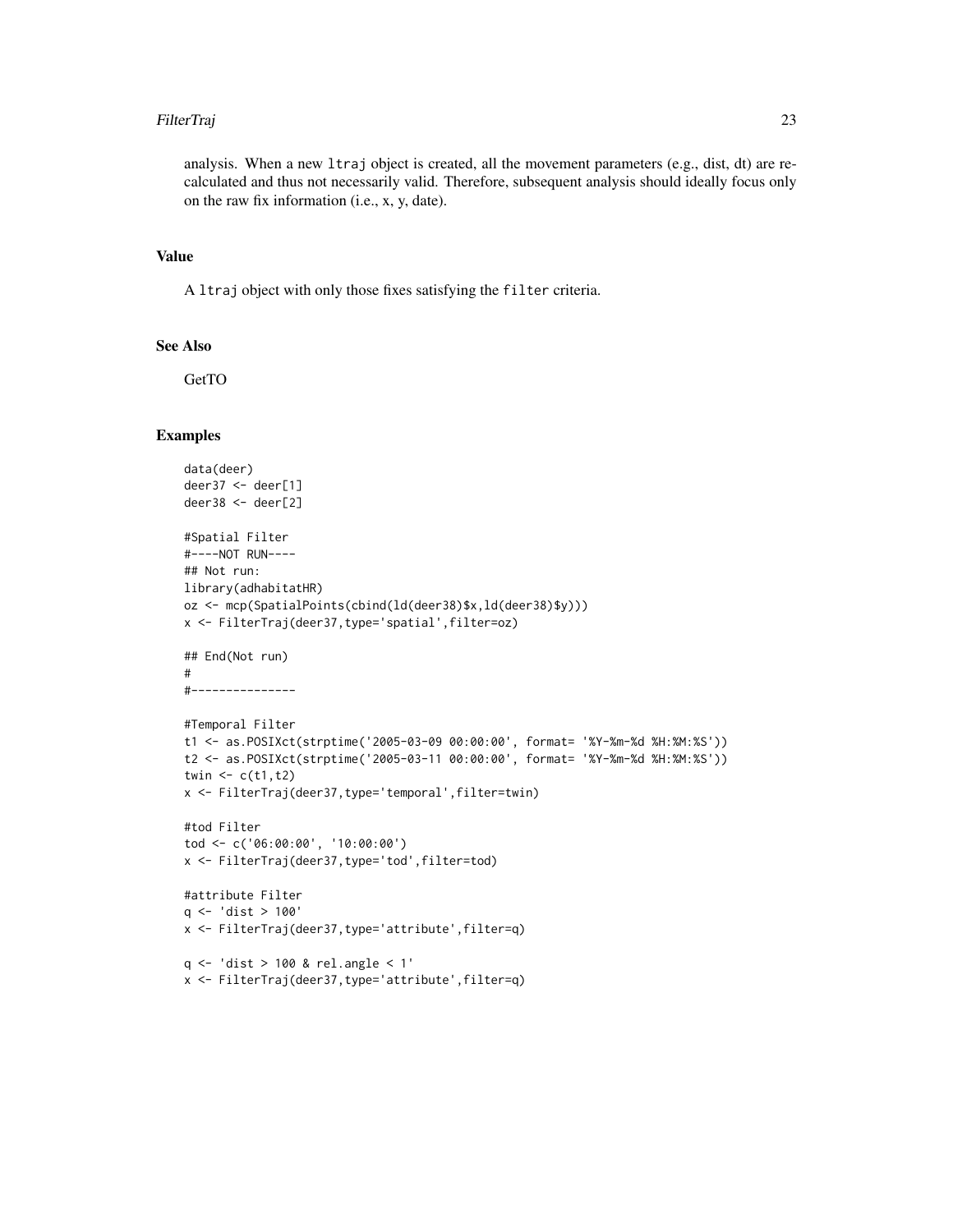#### FilterTraj 23

analysis. When a new 1traj object is created, all the movement parameters  $(e.g., dist, dt)$  are recalculated and thus not necessarily valid. Therefore, subsequent analysis should ideally focus only on the raw fix information (i.e., x, y, date).

# Value

A ltraj object with only those fixes satisfying the filter criteria.

# See Also

**GetTO** 

```
data(deer)
deer37 <- deer[1]
deer38 <- deer[2]
#Spatial Filter
#----NOT RUN----
## Not run:
library(adhabitatHR)
oz <- mcp(SpatialPoints(cbind(ld(deer38)$x,ld(deer38)$y)))
x <- FilterTraj(deer37,type='spatial',filter=oz)
## End(Not run)
#
#---------------
#Temporal Filter
t1 <- as.POSIXct(strptime('2005-03-09 00:00:00', format= '%Y-%m-%d %H:%M:%S'))
t2 <- as.POSIXct(strptime('2005-03-11 00:00:00', format= '%Y-%m-%d %H:%M:%S'))
twin \leq c(t1, t2)x <- FilterTraj(deer37,type='temporal',filter=twin)
#tod Filter
tod <- c('06:00:00', '10:00:00')
x <- FilterTraj(deer37,type='tod',filter=tod)
#attribute Filter
q <- 'dist > 100'
x <- FilterTraj(deer37,type='attribute',filter=q)
q <- 'dist > 100 & rel.angle < 1'
x <- FilterTraj(deer37,type='attribute',filter=q)
```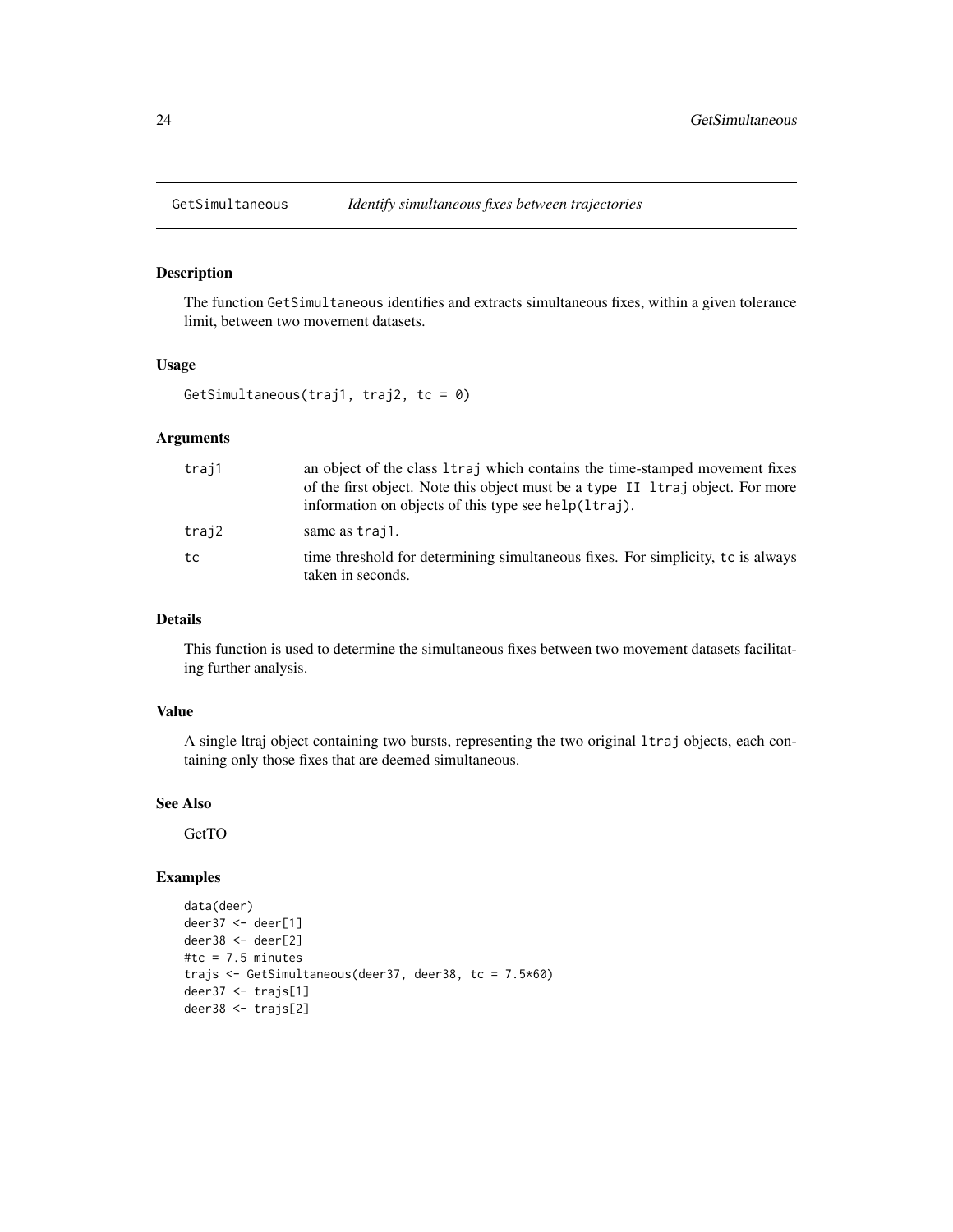<span id="page-23-0"></span>

The function GetSimultaneous identifies and extracts simultaneous fixes, within a given tolerance limit, between two movement datasets.

#### Usage

GetSimultaneous(traj1, traj2, tc = 0)

# Arguments

| traj1 | an object of the class 1traj which contains the time-stamped movement fixes<br>of the first object. Note this object must be a type II 1 traj object. For more |
|-------|----------------------------------------------------------------------------------------------------------------------------------------------------------------|
|       | information on objects of this type see help(ltraj).                                                                                                           |
| traj2 | same as trajl.                                                                                                                                                 |
| tc    | time threshold for determining simultaneous fixes. For simplicity, to is always<br>taken in seconds.                                                           |

## Details

This function is used to determine the simultaneous fixes between two movement datasets facilitating further analysis.

# Value

A single ltraj object containing two bursts, representing the two original ltraj objects, each containing only those fixes that are deemed simultaneous.

#### See Also

**GetTO** 

```
data(deer)
deer37 <- deer[1]
deer38 <- deer[2]
#tc = 7.5 minutes
trajs <- GetSimultaneous(deer37, deer38, tc = 7.5*60)
deer37 <- trajs[1]
deer38 <- trajs[2]
```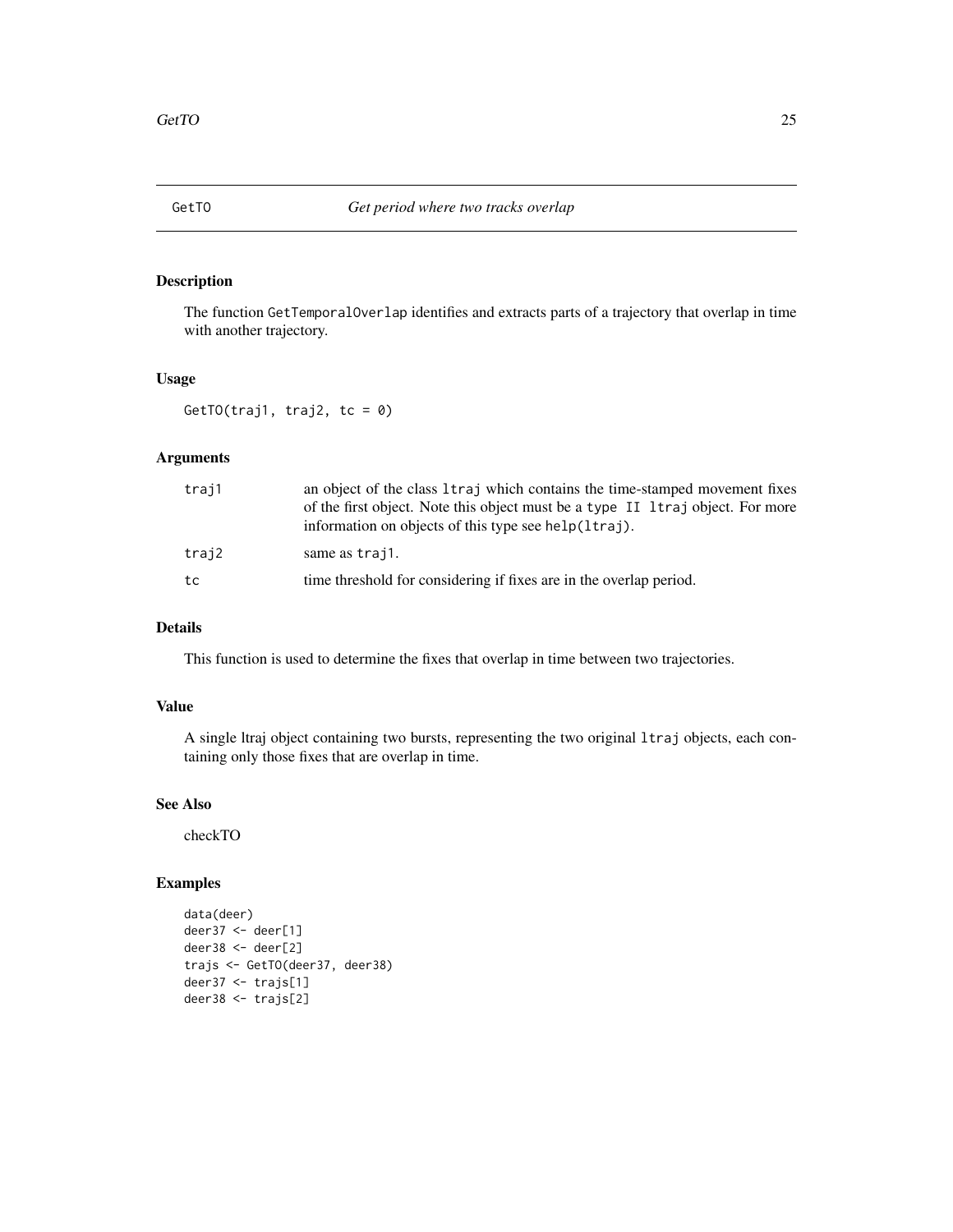<span id="page-24-0"></span>

The function GetTemporalOverlap identifies and extracts parts of a trajectory that overlap in time with another trajectory.

# Usage

GetTO(traj1, traj2, tc =  $0$ )

# Arguments

| traj1 | an object of the class 1 traj which contains the time-stamped movement fixes<br>of the first object. Note this object must be a type II 1 traj object. For more<br>information on objects of this type see help(ltraj). |
|-------|-------------------------------------------------------------------------------------------------------------------------------------------------------------------------------------------------------------------------|
| traj2 | same as traj1.                                                                                                                                                                                                          |
| tc    | time threshold for considering if fixes are in the overlap period.                                                                                                                                                      |

# Details

This function is used to determine the fixes that overlap in time between two trajectories.

# Value

A single ltraj object containing two bursts, representing the two original ltraj objects, each containing only those fixes that are overlap in time.

# See Also

checkTO

```
data(deer)
deer37 <- deer[1]
deer38 <- deer[2]
trajs <- GetTO(deer37, deer38)
deer37 <- trajs[1]
deer38 <- trajs[2]
```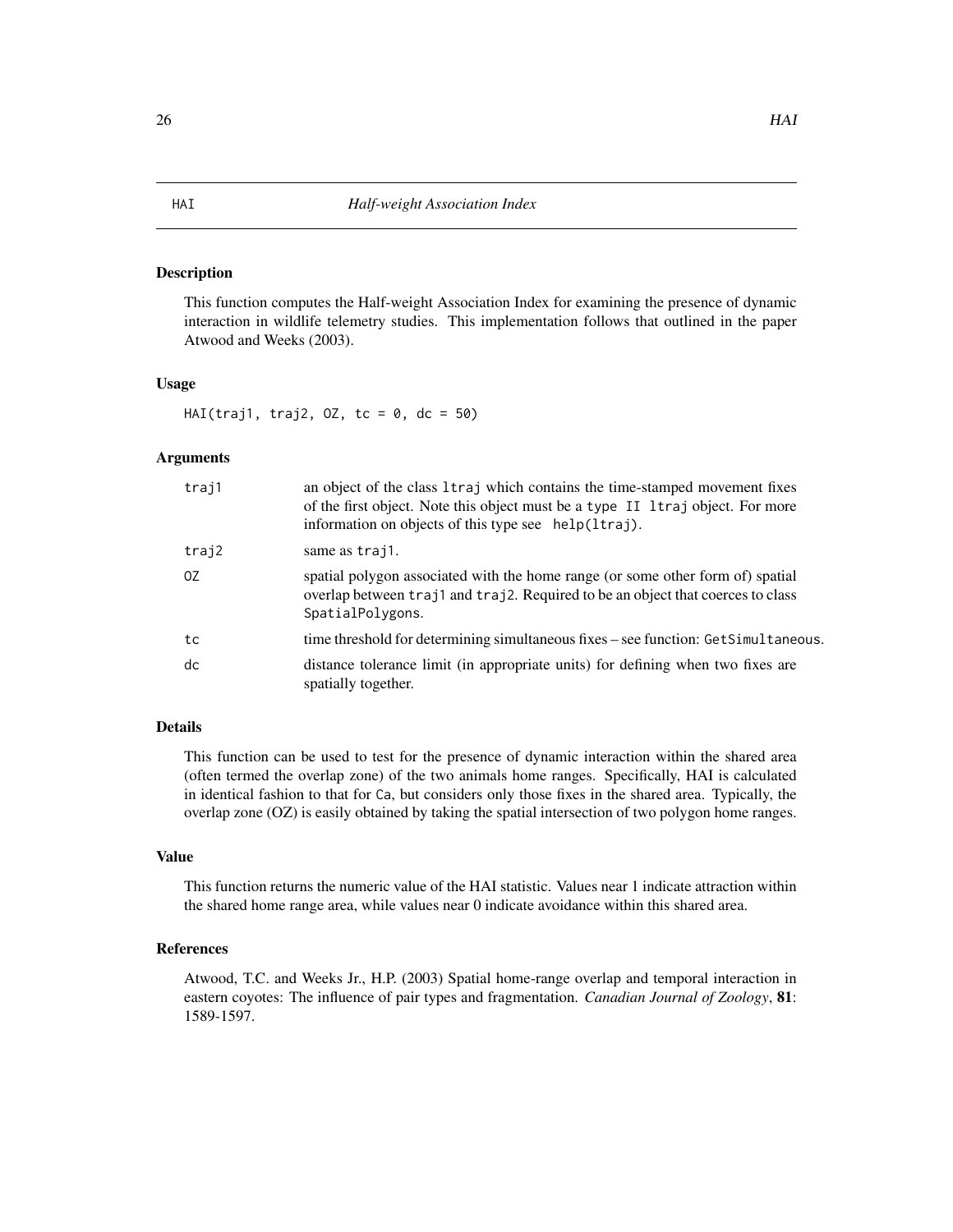<span id="page-25-0"></span>This function computes the Half-weight Association Index for examining the presence of dynamic interaction in wildlife telemetry studies. This implementation follows that outlined in the paper Atwood and Weeks (2003).

#### Usage

HAI(traj1, traj2,  $0Z$ , tc = 0, dc = 50)

#### **Arguments**

| traj1 | an object of the class 1 traj which contains the time-stamped movement fixes<br>of the first object. Note this object must be a type II ltraj object. For more<br>information on objects of this type see help(ltraj). |
|-------|------------------------------------------------------------------------------------------------------------------------------------------------------------------------------------------------------------------------|
| traj2 | same as trajl.                                                                                                                                                                                                         |
| 0Z    | spatial polygon associated with the home range (or some other form of) spatial<br>overlap between traj1 and traj2. Required to be an object that coerces to class<br>SpatialPolygons.                                  |
| tc    | time threshold for determining simultaneous fixes – see function: GetSimultaneous.                                                                                                                                     |
| dc    | distance tolerance limit (in appropriate units) for defining when two fixes are<br>spatially together.                                                                                                                 |

# Details

This function can be used to test for the presence of dynamic interaction within the shared area (often termed the overlap zone) of the two animals home ranges. Specifically, HAI is calculated in identical fashion to that for Ca, but considers only those fixes in the shared area. Typically, the overlap zone (OZ) is easily obtained by taking the spatial intersection of two polygon home ranges.

#### Value

This function returns the numeric value of the HAI statistic. Values near 1 indicate attraction within the shared home range area, while values near 0 indicate avoidance within this shared area.

# References

Atwood, T.C. and Weeks Jr., H.P. (2003) Spatial home-range overlap and temporal interaction in eastern coyotes: The influence of pair types and fragmentation. *Canadian Journal of Zoology*, 81: 1589-1597.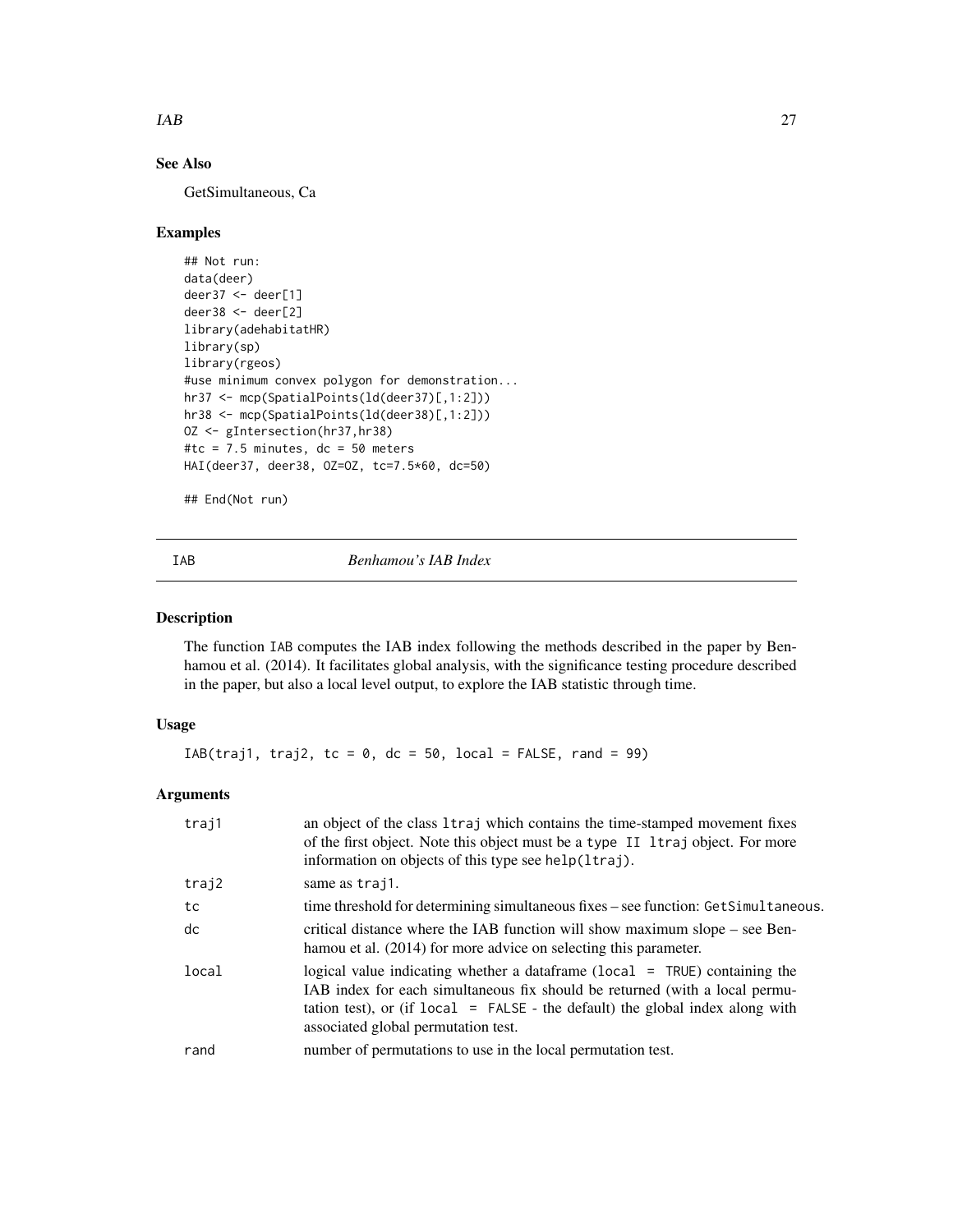#### <span id="page-26-0"></span> $IAB$  27

# See Also

GetSimultaneous, Ca

## Examples

```
## Not run:
data(deer)
deer37 <- deer[1]
deer38 <- deer[2]
library(adehabitatHR)
library(sp)
library(rgeos)
#use minimum convex polygon for demonstration...
hr37 <- mcp(SpatialPoints(ld(deer37)[,1:2]))
hr38 <- mcp(SpatialPoints(ld(deer38)[,1:2]))
OZ <- gIntersection(hr37,hr38)
#tc = 7.5 minutes, dc = 50 meters
HAI(deer37, deer38, OZ=OZ, tc=7.5*60, dc=50)
```
## End(Not run)

IAB *Benhamou's IAB Index*

# Description

The function IAB computes the IAB index following the methods described in the paper by Benhamou et al. (2014). It facilitates global analysis, with the significance testing procedure described in the paper, but also a local level output, to explore the IAB statistic through time.

# Usage

 $IAB(trainj1, traj2, tc = 0, dc = 50, local = FALSE, rand = 99)$ 

# Arguments

| traj1 | an object of the class 1traj which contains the time-stamped movement fixes<br>of the first object. Note this object must be a type II ltraj object. For more<br>information on objects of this type see help(ltraj).                                                                    |
|-------|------------------------------------------------------------------------------------------------------------------------------------------------------------------------------------------------------------------------------------------------------------------------------------------|
| traj2 | same as traj1.                                                                                                                                                                                                                                                                           |
| tc    | time threshold for determining simultaneous fixes – see function: GetSimultaneous.                                                                                                                                                                                                       |
| dc    | critical distance where the IAB function will show maximum slope – see Ben-<br>hamou et al. (2014) for more advice on selecting this parameter.                                                                                                                                          |
| local | logical value indicating whether a data frame ( $local = TRUE$ ) containing the<br>IAB index for each simultaneous fix should be returned (with a local permu-<br>tation test), or (if $local = FALSE$ - the default) the global index along with<br>associated global permutation test. |
| rand  | number of permutations to use in the local permutation test.                                                                                                                                                                                                                             |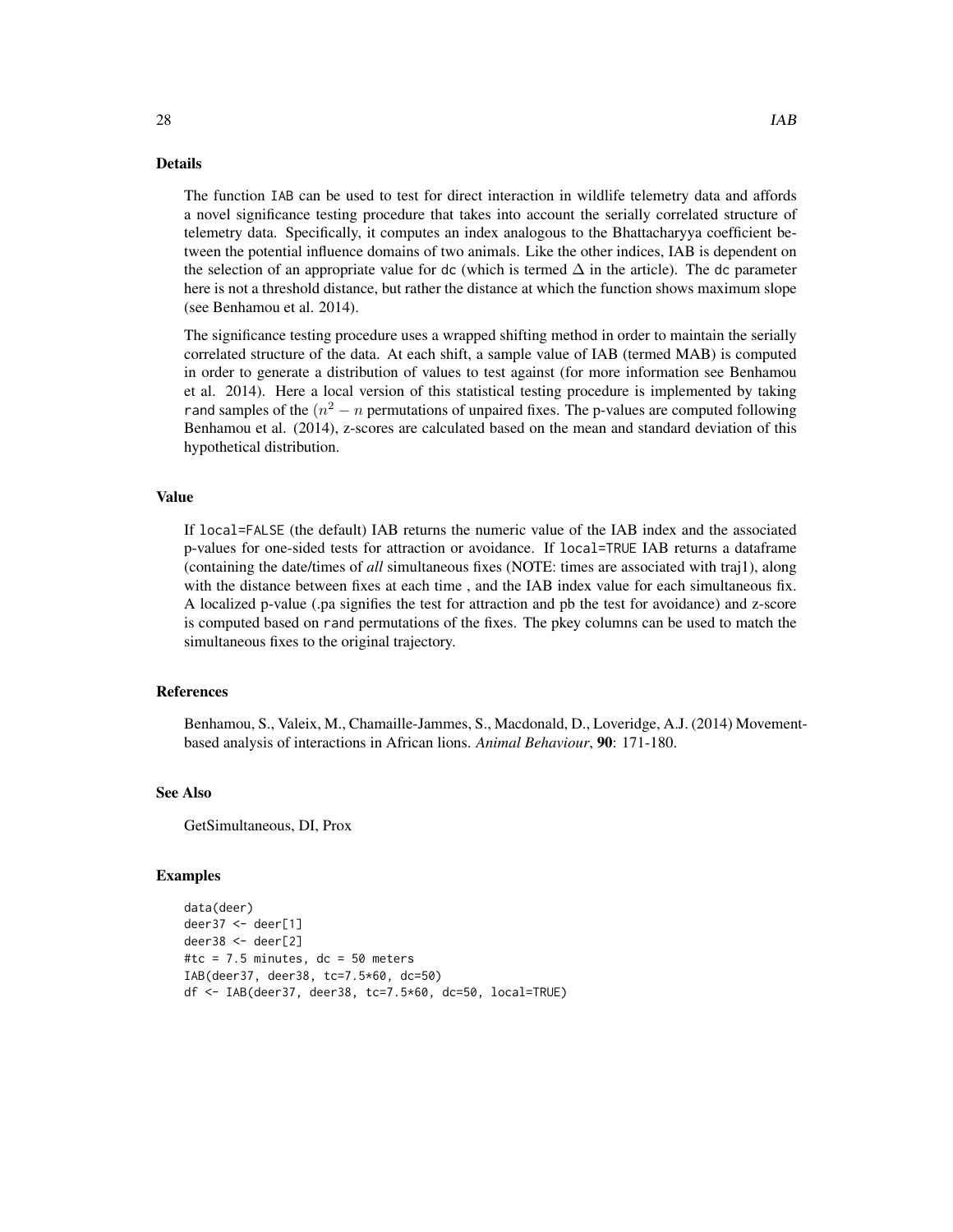#### Details

The function IAB can be used to test for direct interaction in wildlife telemetry data and affords a novel significance testing procedure that takes into account the serially correlated structure of telemetry data. Specifically, it computes an index analogous to the Bhattacharyya coefficient between the potential influence domains of two animals. Like the other indices, IAB is dependent on the selection of an appropriate value for dc (which is termed  $\Delta$  in the article). The dc parameter here is not a threshold distance, but rather the distance at which the function shows maximum slope (see Benhamou et al. 2014).

The significance testing procedure uses a wrapped shifting method in order to maintain the serially correlated structure of the data. At each shift, a sample value of IAB (termed MAB) is computed in order to generate a distribution of values to test against (for more information see Benhamou et al. 2014). Here a local version of this statistical testing procedure is implemented by taking rand samples of the  $(n^2 - n)$  permutations of unpaired fixes. The p-values are computed following Benhamou et al. (2014), z-scores are calculated based on the mean and standard deviation of this hypothetical distribution.

#### Value

If local=FALSE (the default) IAB returns the numeric value of the IAB index and the associated p-values for one-sided tests for attraction or avoidance. If local=TRUE IAB returns a dataframe (containing the date/times of *all* simultaneous fixes (NOTE: times are associated with traj1), along with the distance between fixes at each time , and the IAB index value for each simultaneous fix. A localized p-value (.pa signifies the test for attraction and pb the test for avoidance) and z-score is computed based on rand permutations of the fixes. The pkey columns can be used to match the simultaneous fixes to the original trajectory.

# References

Benhamou, S., Valeix, M., Chamaille-Jammes, S., Macdonald, D., Loveridge, A.J. (2014) Movementbased analysis of interactions in African lions. *Animal Behaviour*, 90: 171-180.

# See Also

GetSimultaneous, DI, Prox

```
data(deer)
deer37 <- deer[1]
deer38 <- deer[2]
#tc = 7.5 minutes, dc = 50 meters
IAB(deer37, deer38, tc=7.5*60, dc=50)
df <- IAB(deer37, deer38, tc=7.5*60, dc=50, local=TRUE)
```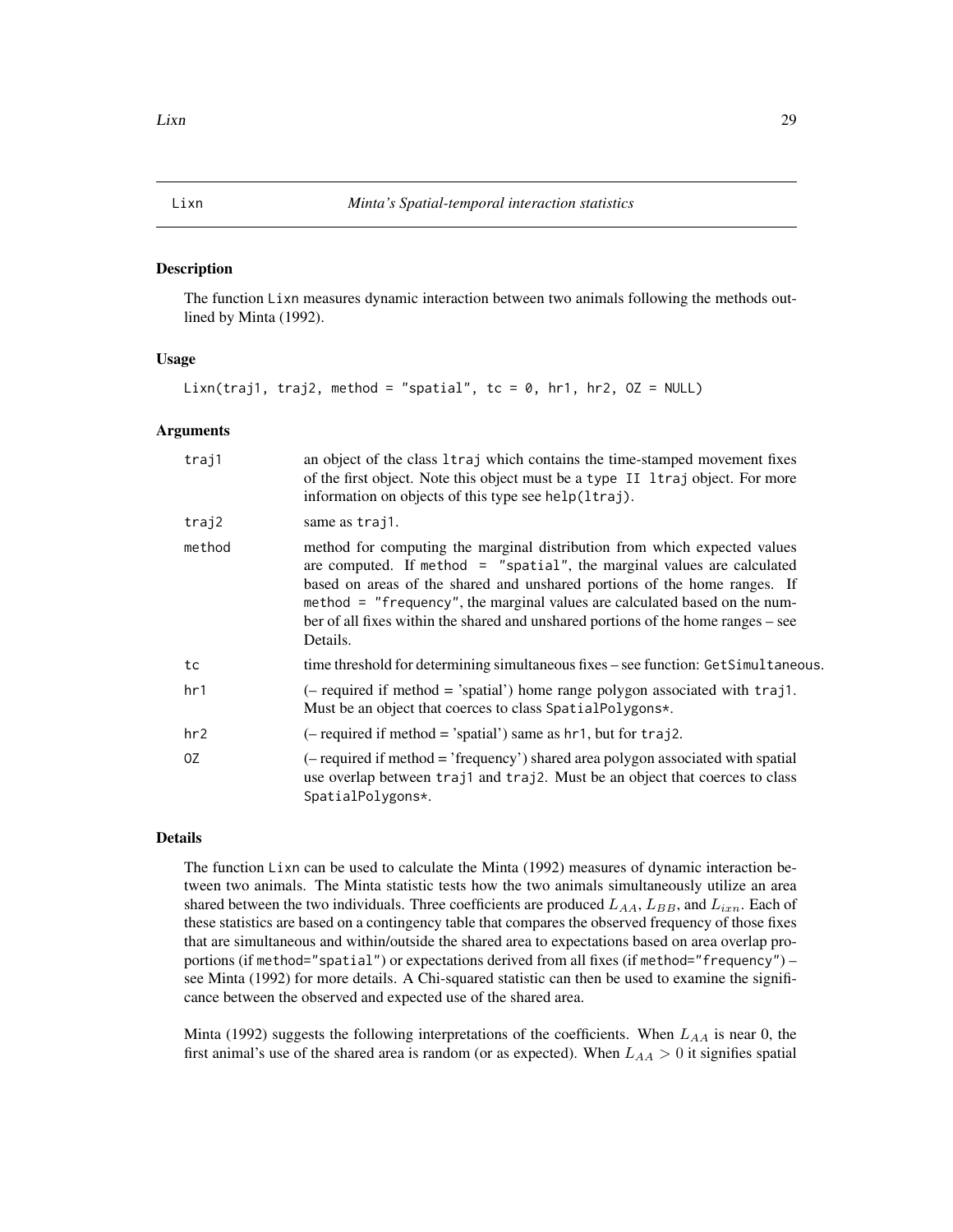<span id="page-28-0"></span>The function Lixn measures dynamic interaction between two animals following the methods outlined by Minta (1992).

#### Usage

Lixn(traj1, traj2, method = "spatial", tc = 0, hr1, hr2,  $OZ = NULL$ )

#### Arguments

| traj1  | an object of the class 1traj which contains the time-stamped movement fixes<br>of the first object. Note this object must be a type II ltraj object. For more<br>information on objects of this type see help(ltraj).                                                                                                                                                                                              |
|--------|--------------------------------------------------------------------------------------------------------------------------------------------------------------------------------------------------------------------------------------------------------------------------------------------------------------------------------------------------------------------------------------------------------------------|
| traj2  | same as traj1.                                                                                                                                                                                                                                                                                                                                                                                                     |
| method | method for computing the marginal distribution from which expected values<br>are computed. If method $=$ "spatial", the marginal values are calculated<br>based on areas of the shared and unshared portions of the home ranges. If<br>method = "frequency", the marginal values are calculated based on the num-<br>ber of all fixes within the shared and unshared portions of the home ranges – see<br>Details. |
| tc     | time threshold for determining simultaneous fixes – see function: GetSimultaneous.                                                                                                                                                                                                                                                                                                                                 |
| hr1    | $(-$ required if method = 'spatial') home range polygon associated with traj1.<br>Must be an object that coerces to class Spatial Polygons*.                                                                                                                                                                                                                                                                       |
| hr2    | $(-$ required if method = 'spatial') same as hr1, but for traj2.                                                                                                                                                                                                                                                                                                                                                   |
| 0Z     | $(-$ required if method $=$ 'frequency') shared area polygon associated with spatial<br>use overlap between traj1 and traj2. Must be an object that coerces to class<br>SpatialPolygons*.                                                                                                                                                                                                                          |

# Details

The function Lixn can be used to calculate the Minta (1992) measures of dynamic interaction between two animals. The Minta statistic tests how the two animals simultaneously utilize an area shared between the two individuals. Three coefficients are produced  $L_{AA}$ ,  $L_{BB}$ , and  $L_{ixn}$ . Each of these statistics are based on a contingency table that compares the observed frequency of those fixes that are simultaneous and within/outside the shared area to expectations based on area overlap proportions (if method="spatial") or expectations derived from all fixes (if method="frequency") – see Minta (1992) for more details. A Chi-squared statistic can then be used to examine the significance between the observed and expected use of the shared area.

Minta (1992) suggests the following interpretations of the coefficients. When  $L_{AA}$  is near 0, the first animal's use of the shared area is random (or as expected). When  $L_{AA} > 0$  it signifies spatial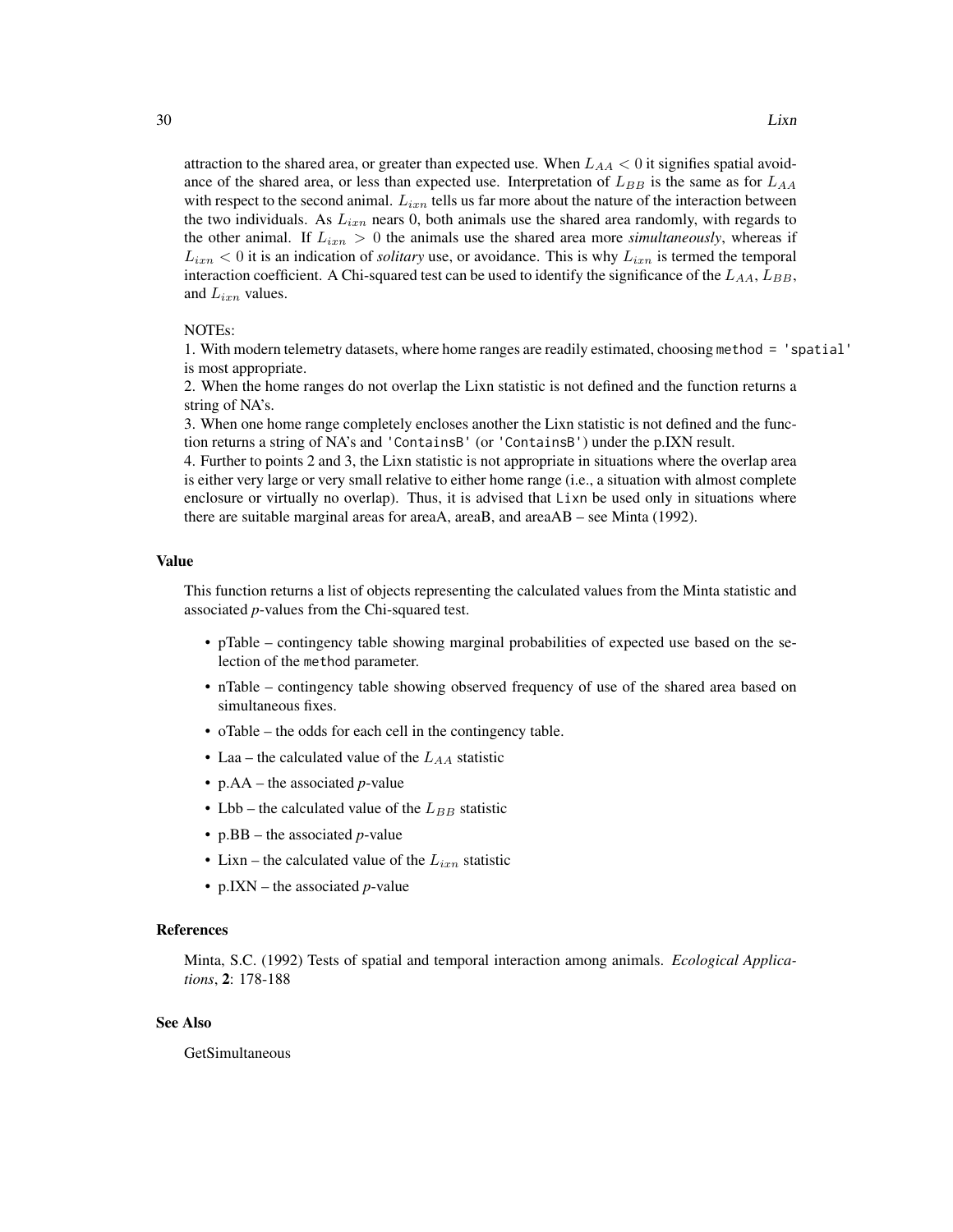attraction to the shared area, or greater than expected use. When  $L_{AA} < 0$  it signifies spatial avoidance of the shared area, or less than expected use. Interpretation of  $L_{BB}$  is the same as for  $L_{AA}$ with respect to the second animal.  $L_{i,n}$  tells us far more about the nature of the interaction between the two individuals. As  $L_{ixn}$  nears 0, both animals use the shared area randomly, with regards to the other animal. If  $L_{ixn} > 0$  the animals use the shared area more *simultaneously*, whereas if  $L_{ixn}$  < 0 it is an indication of *solitary* use, or avoidance. This is why  $L_{ixn}$  is termed the temporal interaction coefficient. A Chi-squared test can be used to identify the significance of the  $L_{AA}$ ,  $L_{BB}$ , and  $L_{ixn}$  values.

#### NOTEs:

1. With modern telemetry datasets, where home ranges are readily estimated, choosing method = 'spatial' is most appropriate.

2. When the home ranges do not overlap the Lixn statistic is not defined and the function returns a string of NA's.

3. When one home range completely encloses another the Lixn statistic is not defined and the function returns a string of NA's and 'ContainsB' (or 'ContainsB') under the p.IXN result.

4. Further to points 2 and 3, the Lixn statistic is not appropriate in situations where the overlap area is either very large or very small relative to either home range (i.e., a situation with almost complete enclosure or virtually no overlap). Thus, it is advised that Lixn be used only in situations where there are suitable marginal areas for areaA, areaB, and areaAB – see Minta (1992).

#### Value

This function returns a list of objects representing the calculated values from the Minta statistic and associated *p*-values from the Chi-squared test.

- pTable contingency table showing marginal probabilities of expected use based on the selection of the method parameter.
- nTable contingency table showing observed frequency of use of the shared area based on simultaneous fixes.
- oTable the odds for each cell in the contingency table.
- Laa the calculated value of the  $L_{AA}$  statistic
- p.AA the associated *p*-value
- Lbb the calculated value of the  $L_{BB}$  statistic
- p.BB the associated *p*-value
- Lixn the calculated value of the  $L_{ixn}$  statistic
- p.IXN the associated *p*-value

#### References

Minta, S.C. (1992) Tests of spatial and temporal interaction among animals. *Ecological Applications*, 2: 178-188

## See Also

GetSimultaneous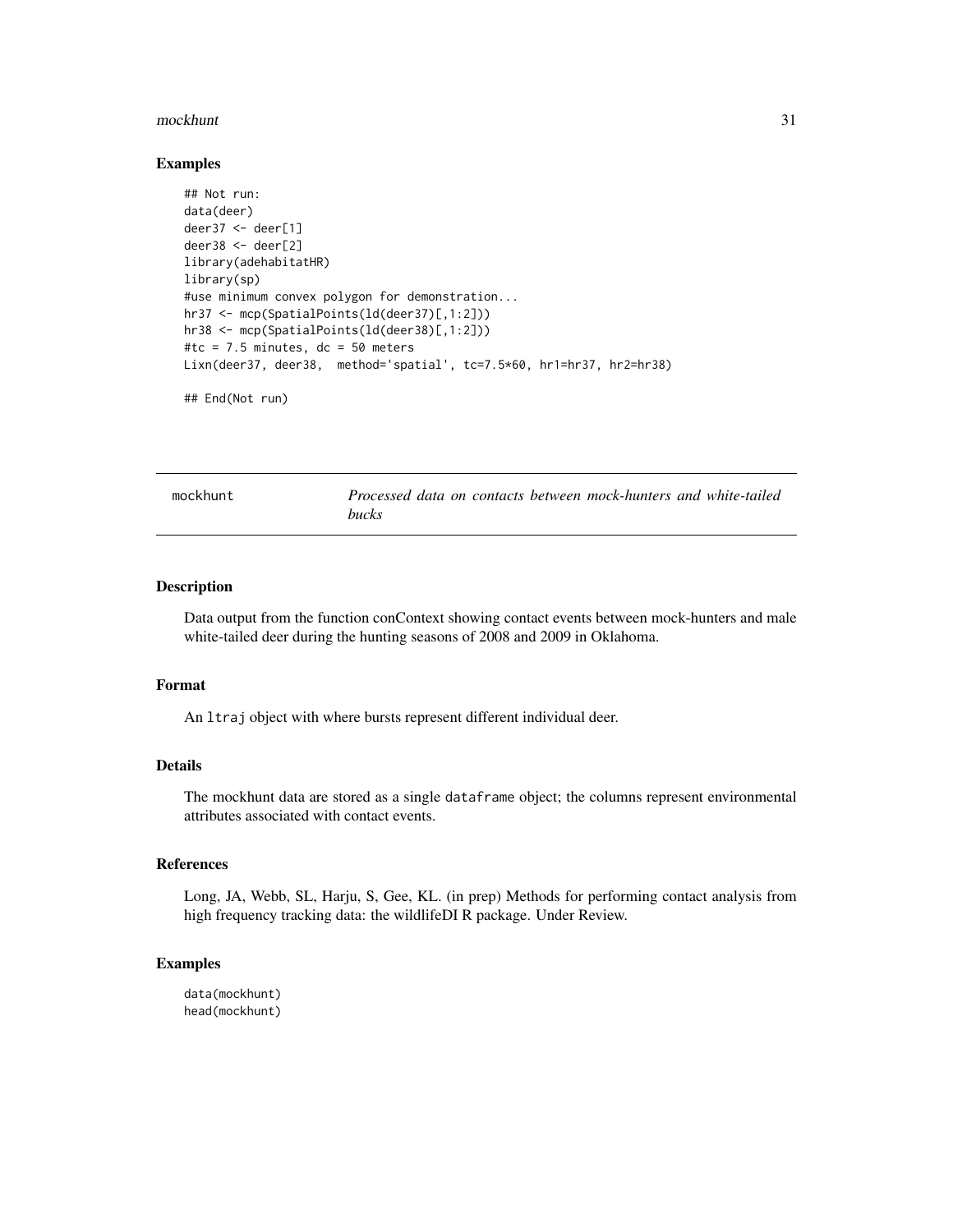#### <span id="page-30-0"></span>mockhunt 31

#### Examples

```
## Not run:
data(deer)
deer37 <- deer[1]
deer38 <- deer[2]
library(adehabitatHR)
library(sp)
#use minimum convex polygon for demonstration...
hr37 <- mcp(SpatialPoints(ld(deer37)[,1:2]))
hr38 <- mcp(SpatialPoints(ld(deer38)[,1:2]))
#tc = 7.5 minutes, dc = 50 meters
Lixn(deer37, deer38, method='spatial', tc=7.5*60, hr1=hr37, hr2=hr38)
## End(Not run)
```
mockhunt *Processed data on contacts between mock-hunters and white-tailed bucks*

#### Description

Data output from the function conContext showing contact events between mock-hunters and male white-tailed deer during the hunting seasons of 2008 and 2009 in Oklahoma.

#### Format

An ltraj object with where bursts represent different individual deer.

# Details

The mockhunt data are stored as a single dataframe object; the columns represent environmental attributes associated with contact events.

# References

Long, JA, Webb, SL, Harju, S, Gee, KL. (in prep) Methods for performing contact analysis from high frequency tracking data: the wildlifeDI R package. Under Review.

#### Examples

data(mockhunt) head(mockhunt)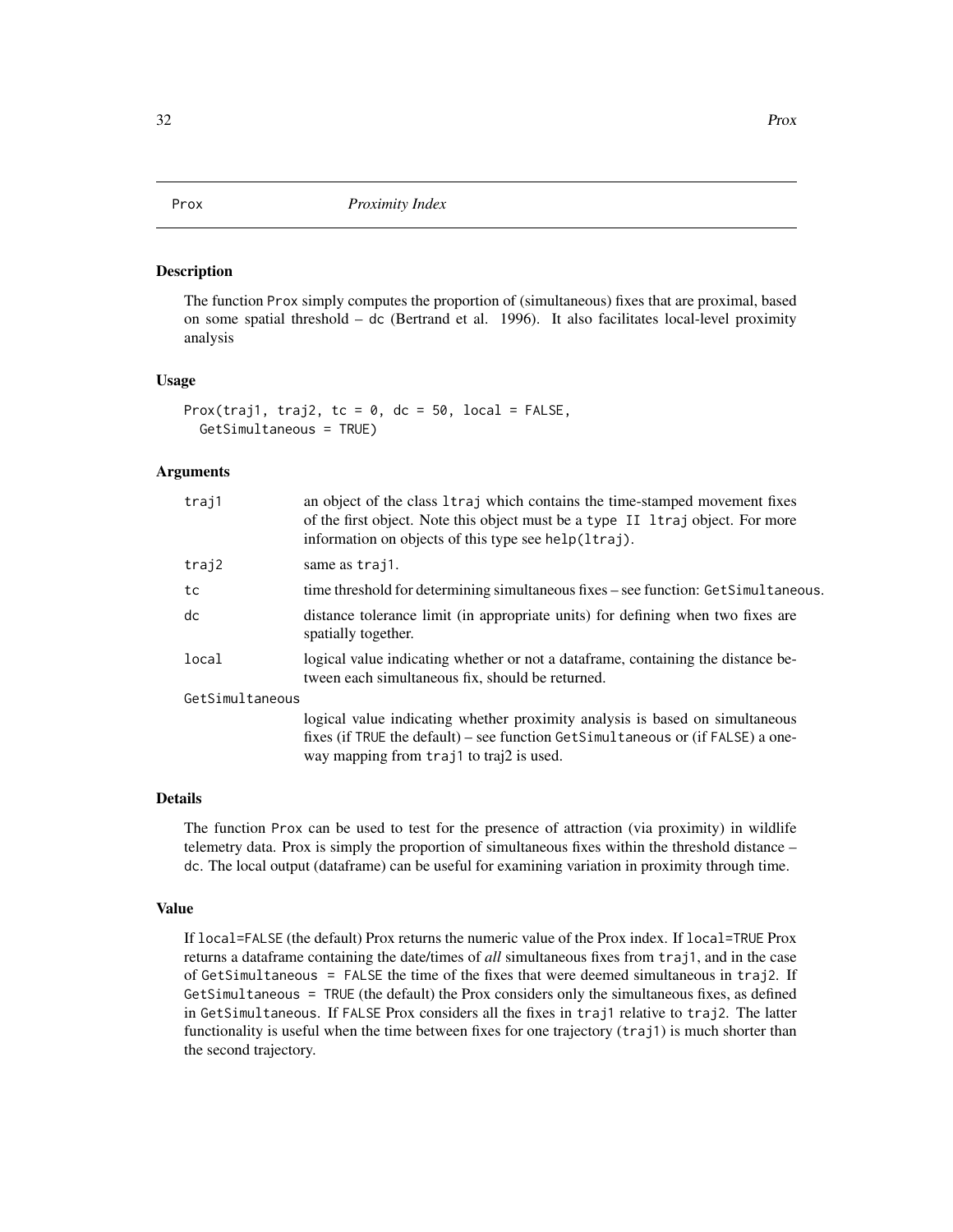<span id="page-31-0"></span>The function Prox simply computes the proportion of (simultaneous) fixes that are proximal, based on some spatial threshold – dc (Bertrand et al. 1996). It also facilitates local-level proximity analysis

#### Usage

```
Prox(traj1, traj2, tc = 0, dc = 50, local = FALSE,
 GetSimultaneous = TRUE)
```
#### Arguments

| traj1           | an object of the class 1traj which contains the time-stamped movement fixes<br>of the first object. Note this object must be a type II ltraj object. For more<br>information on objects of this type see help(ltraj). |
|-----------------|-----------------------------------------------------------------------------------------------------------------------------------------------------------------------------------------------------------------------|
| traj2           | same as trajl.                                                                                                                                                                                                        |
| tc              | time threshold for determining simultaneous fixes – see function: GetSimultaneous.                                                                                                                                    |
| dc              | distance tolerance limit (in appropriate units) for defining when two fixes are<br>spatially together.                                                                                                                |
| local           | logical value indicating whether or not a dataframe, containing the distance be-<br>tween each simultaneous fix, should be returned.                                                                                  |
| GetSimultaneous |                                                                                                                                                                                                                       |
|                 | logical value indicating whether proximity analysis is based on simultaneous                                                                                                                                          |
|                 | fixes (if TRUE the default) – see function GetSimultaneous or (if $FALSE$ ) a one-                                                                                                                                    |
|                 | way mapping from traj1 to traj2 is used.                                                                                                                                                                              |

#### Details

The function Prox can be used to test for the presence of attraction (via proximity) in wildlife telemetry data. Prox is simply the proportion of simultaneous fixes within the threshold distance – dc. The local output (dataframe) can be useful for examining variation in proximity through time.

## Value

If local=FALSE (the default) Prox returns the numeric value of the Prox index. If local=TRUE Prox returns a dataframe containing the date/times of *all* simultaneous fixes from traj1, and in the case of GetSimultaneous = FALSE the time of the fixes that were deemed simultaneous in traj2. If GetSimultaneous = TRUE (the default) the Prox considers only the simultaneous fixes, as defined in GetSimultaneous. If FALSE Prox considers all the fixes in traj1 relative to traj2. The latter functionality is useful when the time between fixes for one trajectory (traj1) is much shorter than the second trajectory.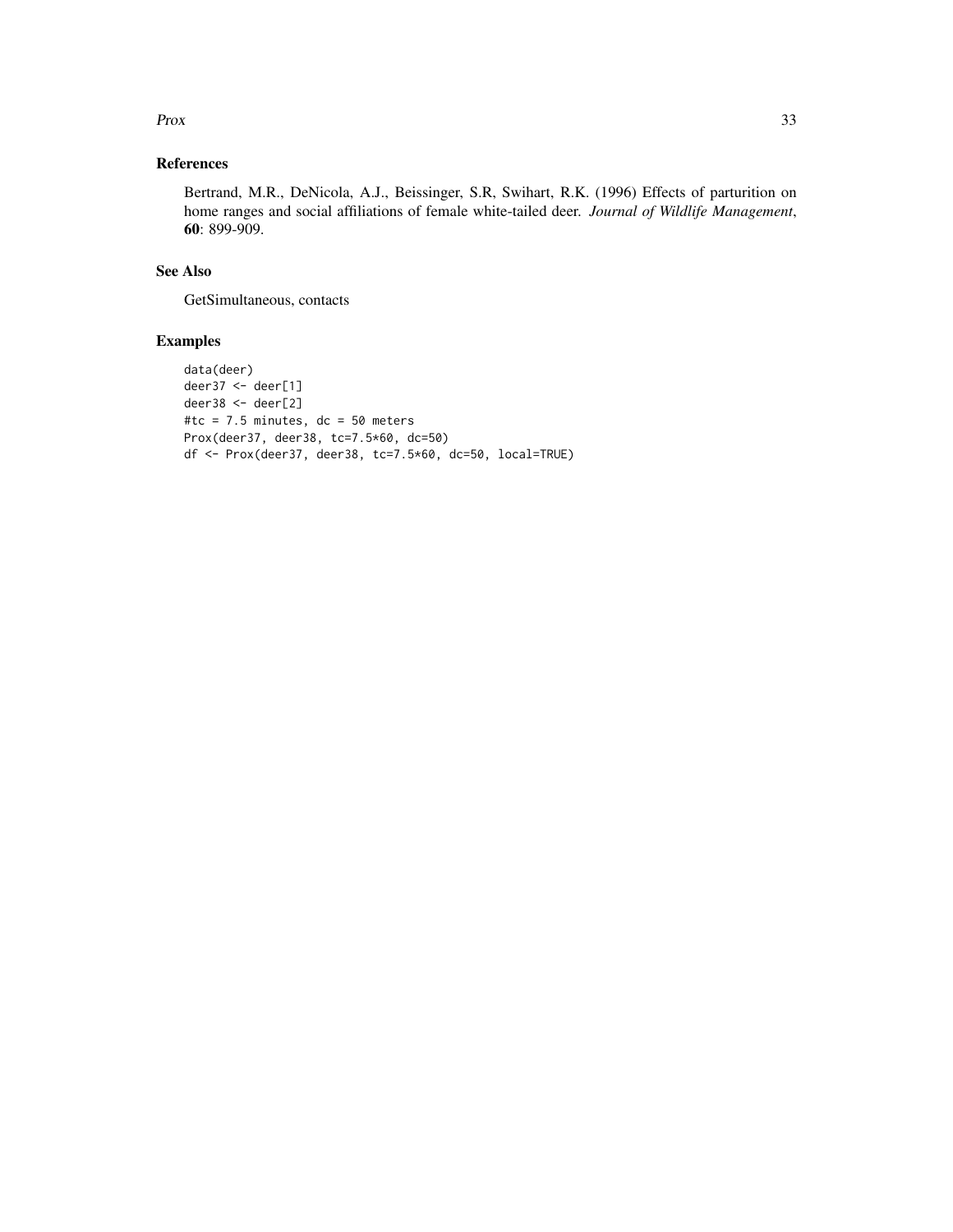#### $Prox$  33

# References

Bertrand, M.R., DeNicola, A.J., Beissinger, S.R, Swihart, R.K. (1996) Effects of parturition on home ranges and social affiliations of female white-tailed deer. *Journal of Wildlife Management*, 60: 899-909.

#### See Also

GetSimultaneous, contacts

```
data(deer)
deer37 <- deer[1]
deer38 <- deer[2]
#tc = 7.5 minutes, dc = 50 meters
Prox(deer37, deer38, tc=7.5*60, dc=50)
df <- Prox(deer37, deer38, tc=7.5*60, dc=50, local=TRUE)
```